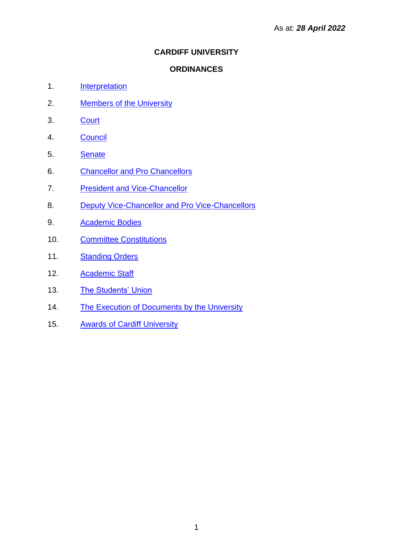# **CARDIFF UNIVERSITY**

## **ORDINANCES**

- 1. [Interpretation](#page-1-0)
- 2. [Members of the University](#page-2-0)
- 3. [Court](#page-3-0)
- 4. [Council](#page-8-0)
- 5. [Senate](#page-11-0)
- 6. [Chancellor and Pro Chancellors](#page-15-0)
- 7. [President and Vice-Chancellor](#page-16-0)
- 8. [Deputy Vice-Chancellor and Pro Vice-Chancellors](#page-18-0)
- 9. [Academic Bodies](#page-19-0)
- 10. [Committee Constitutions](#page-25-0)
- 11. [Standing Orders](#page-53-0)
- 12. [Academic Staff](#page-66-0)
- 13. [The Students' Union](#page-79-0)
- 14. [The Execution of Documents by the University](#page-85-0)
- 15. [Awards of Cardiff University](#page-86-0)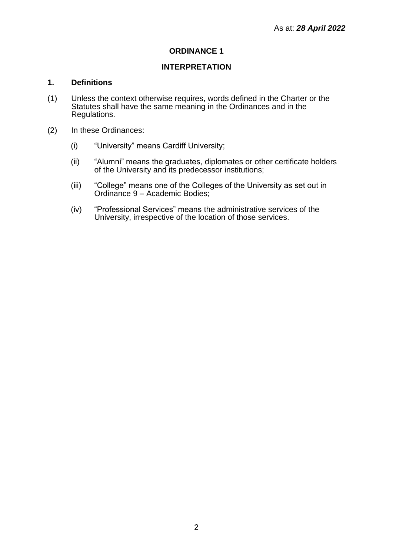## **INTERPRETATION**

## <span id="page-1-0"></span>**1. Definitions**

- (1) Unless the context otherwise requires, words defined in the Charter or the Statutes shall have the same meaning in the Ordinances and in the Regulations.
- (2) In these Ordinances:
	- (i) "University" means Cardiff University;
	- (ii) "Alumni" means the graduates, diplomates or other certificate holders of the University and its predecessor institutions;
	- (iii) "College" means one of the Colleges of the University as set out in Ordinance 9 – Academic Bodies;
	- (iv) "Professional Services" means the administrative services of the University, irrespective of the location of those services.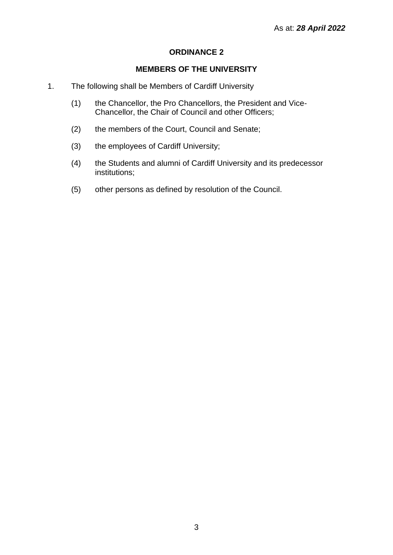## **MEMBERS OF THE UNIVERSITY**

- <span id="page-2-0"></span>1. The following shall be Members of Cardiff University
	- (1) the Chancellor, the Pro Chancellors, the President and Vice-Chancellor, the Chair of Council and other Officers;
	- (2) the members of the Court, Council and Senate;
	- (3) the employees of Cardiff University;
	- (4) the Students and alumni of Cardiff University and its predecessor institutions;
	- (5) other persons as defined by resolution of the Council.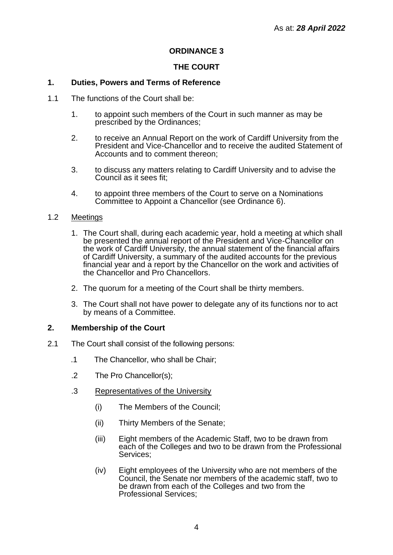## **THE COURT**

### <span id="page-3-0"></span>**1. Duties, Powers and Terms of Reference**

- 1.1 The functions of the Court shall be:
	- 1. to appoint such members of the Court in such manner as may be prescribed by the Ordinances;
	- 2. to receive an Annual Report on the work of Cardiff University from the President and Vice-Chancellor and to receive the audited Statement of Accounts and to comment thereon;
	- 3. to discuss any matters relating to Cardiff University and to advise the Council as it sees fit:
	- 4. to appoint three members of the Court to serve on a Nominations Committee to Appoint a Chancellor (see Ordinance 6).

#### 1.2 Meetings

- 1. The Court shall, during each academic year, hold a meeting at which shall be presented the annual report of the President and Vice-Chancellor on the work of Cardiff University, the annual statement of the financial affairs of Cardiff University, a summary of the audited accounts for the previous financial year and a report by the Chancellor on the work and activities of the Chancellor and Pro Chancellors.
- 2. The quorum for a meeting of the Court shall be thirty members.
- 3. The Court shall not have power to delegate any of its functions nor to act by means of a Committee.

#### **2. Membership of the Court**

- 2.1 The Court shall consist of the following persons:
	- .1 The Chancellor, who shall be Chair;
	- .2 The Pro Chancellor(s);
	- .3 Representatives of the University
		- (i) The Members of the Council;
		- (ii) Thirty Members of the Senate;
		- (iii) Eight members of the Academic Staff, two to be drawn from each of the Colleges and two to be drawn from the Professional Services;
		- (iv) Eight employees of the University who are not members of the Council, the Senate nor members of the academic staff, two to be drawn from each of the Colleges and two from the Professional Services;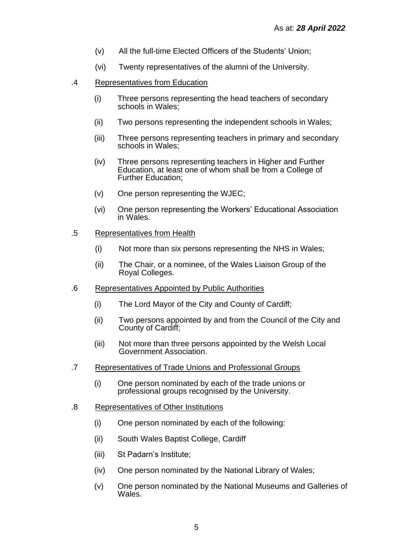- (v) All the full-time Elected Officers of the Students' Union;
- (vi) Twenty representatives of the alumni of the University.
- .4 Representatives from Education
	- (i) Three persons representing the head teachers of secondary schools in Wales:
	- (ii) Two persons representing the independent schools in Wales;
	- (iii) Three persons representing teachers in primary and secondary schools in Wales;
	- (iv) Three persons representing teachers in Higher and Further Education, at least one of whom shall be from a College of Further Education;
	- (v) One person representing the WJEC;
	- (vi) One person representing the Workers' Educational Association in Wales.
- .5 Representatives from Health
	- (i) Not more than six persons representing the NHS in Wales;
	- (ii) The Chair, or a nominee, of the Wales Liaison Group of the Royal Colleges.
- .6 Representatives Appointed by Public Authorities
	- (i) The Lord Mayor of the City and County of Cardiff;
	- (ii) Two persons appointed by and from the Council of the City and County of Cardiff;
	- (iii) Not more than three persons appointed by the Welsh Local Government Association.
- .7 Representatives of Trade Unions and Professional Groups
	- (i) One person nominated by each of the trade unions or professional groups recognised by the University.
- .8 Representatives of Other Institutions
	- (i) One person nominated by each of the following:
	- (ii) South Wales Baptist College, Cardiff
	- (iii) St Padarn's Institute;
	- (iv) One person nominated by the National Library of Wales;
	- (v) One person nominated by the National Museums and Galleries of Wales.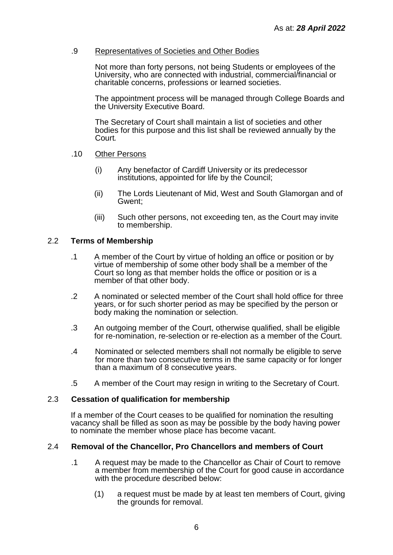## .9 Representatives of Societies and Other Bodies

Not more than forty persons, not being Students or employees of the University, who are connected with industrial, commercial/financial or charitable concerns, professions or learned societies.

The appointment process will be managed through College Boards and the University Executive Board.

The Secretary of Court shall maintain a list of societies and other bodies for this purpose and this list shall be reviewed annually by the Court*.*

#### .10 Other Persons

- (i) Any benefactor of Cardiff University or its predecessor institutions, appointed for life by the Council;
- (ii) The Lords Lieutenant of Mid, West and South Glamorgan and of Gwent;
- (iii) Such other persons, not exceeding ten, as the Court may invite to membership.

#### 2.2 **Terms of Membership**

- .1 A member of the Court by virtue of holding an office or position or by virtue of membership of some other body shall be a member of the Court so long as that member holds the office or position or is a member of that other body.
- .2 A nominated or selected member of the Court shall hold office for three years, or for such shorter period as may be specified by the person or body making the nomination or selection.
- .3 An outgoing member of the Court, otherwise qualified, shall be eligible for re-nomination, re-selection or re-election as a member of the Court.
- .4 Nominated or selected members shall not normally be eligible to serve for more than two consecutive terms in the same capacity or for longer than a maximum of 8 consecutive years.
- .5 A member of the Court may resign in writing to the Secretary of Court.

#### 2.3 **Cessation of qualification for membership**

If a member of the Court ceases to be qualified for nomination the resulting vacancy shall be filled as soon as may be possible by the body having power to nominate the member whose place has become vacant.

#### 2.4 **Removal of the Chancellor, Pro Chancellors and members of Court**

- .1 A request may be made to the Chancellor as Chair of Court to remove a member from membership of the Court for good cause in accordance with the procedure described below:
	- (1) a request must be made by at least ten members of Court, giving the grounds for removal.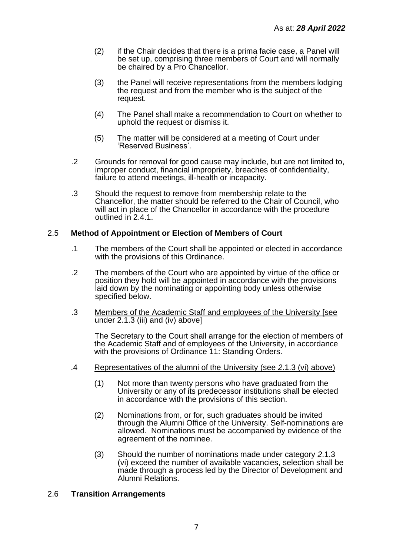- (2) if the Chair decides that there is a prima facie case, a Panel will be set up, comprising three members of Court and will normally be chaired by a Pro Chancellor.
- (3) the Panel will receive representations from the members lodging the request and from the member who is the subject of the request.
- (4) The Panel shall make a recommendation to Court on whether to uphold the request or dismiss it.
- (5) The matter will be considered at a meeting of Court under 'Reserved Business'.
- .2 Grounds for removal for good cause may include, but are not limited to, improper conduct, financial impropriety, breaches of confidentiality, failure to attend meetings, ill-health or incapacity.
- .3 Should the request to remove from membership relate to the Chancellor, the matter should be referred to the Chair of Council, who will act in place of the Chancellor in accordance with the procedure outlined in 2.4.1.

## 2.5 **Method of Appointment or Election of Members of Court**

- .1 The members of the Court shall be appointed or elected in accordance with the provisions of this Ordinance.
- .2 The members of the Court who are appointed by virtue of the office or position they hold will be appointed in accordance with the provisions laid down by the nominating or appointing body unless otherwise specified below.
- .3 Members of the Academic Staff and employees of the University [see under 2.1.3 (iii) and (iv) above]

The Secretary to the Court shall arrange for the election of members of the Academic Staff and of employees of the University, in accordance with the provisions of Ordinance 11: Standing Orders.

- .4 Representatives of the alumni of the University (see *2*.1.3 (vi) above)
	- (1) Not more than twenty persons who have graduated from the University or any of its predecessor institutions shall be elected in accordance with the provisions of this section.
	- (2) Nominations from, or for, such graduates should be invited through the Alumni Office of the University. Self-nominations are allowed. Nominations must be accompanied by evidence of the agreement of the nominee.
	- (3) Should the number of nominations made under category *2*.1.3 (vi) exceed the number of available vacancies, selection shall be made through a process led by the Director of Development and Alumni Relations.

## 2.6 **Transition Arrangements**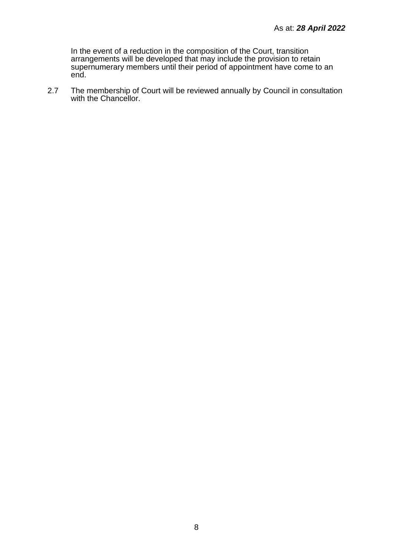In the event of a reduction in the composition of the Court, transition arrangements will be developed that may include the provision to retain supernumerary members until their period of appointment have come to an end.

2.7 The membership of Court will be reviewed annually by Council in consultation with the Chancellor.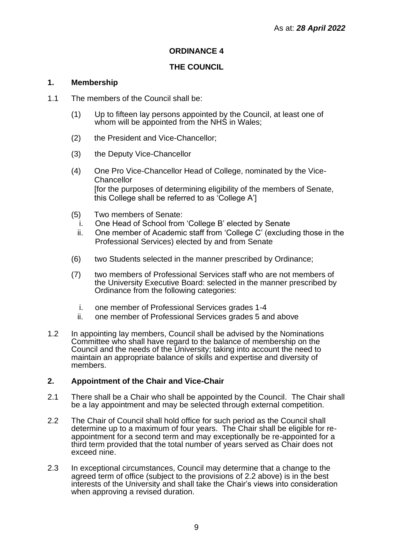## **THE COUNCIL**

## <span id="page-8-0"></span>**1. Membership**

- 1.1 The members of the Council shall be:
	- (1) Up to fifteen lay persons appointed by the Council, at least one of whom will be appointed from the NHS in Wales;
	- (2) the President and Vice-Chancellor;
	- (3) the Deputy Vice-Chancellor
	- (4) One Pro Vice-Chancellor Head of College, nominated by the Vice-**Chancellor** [for the purposes of determining eligibility of the members of Senate, this College shall be referred to as 'College A']
	- (5) Two members of Senate:
		- i. One Head of School from 'College B' elected by Senate
		- ii. One member of Academic staff from 'College C' (excluding those in the Professional Services) elected by and from Senate
	- (6) two Students selected in the manner prescribed by Ordinance;
	- (7) two members of Professional Services staff who are not members of the University Executive Board: selected in the manner prescribed by Ordinance from the following categories:
		- i. one member of Professional Services grades 1-4
		- ii. one member of Professional Services grades 5 and above
- 1.2 In appointing lay members, Council shall be advised by the Nominations Committee who shall have regard to the balance of membership on the Council and the needs of the University; taking into account the need to maintain an appropriate balance of skills and expertise and diversity of members.

## **2. Appointment of the Chair and Vice-Chair**

- 2.1 There shall be a Chair who shall be appointed by the Council. The Chair shall be a lay appointment and may be selected through external competition.
- 2.2 The Chair of Council shall hold office for such period as the Council shall determine up to a maximum of four years. The Chair shall be eligible for reappointment for a second term and may exceptionally be re-appointed for a third term provided that the total number of years served as Chair does not exceed nine.
- 2.3 In exceptional circumstances, Council may determine that a change to the agreed term of office (subject to the provisions of 2.2 above) is in the best interests of the University and shall take the Chair's views into consideration when approving a revised duration.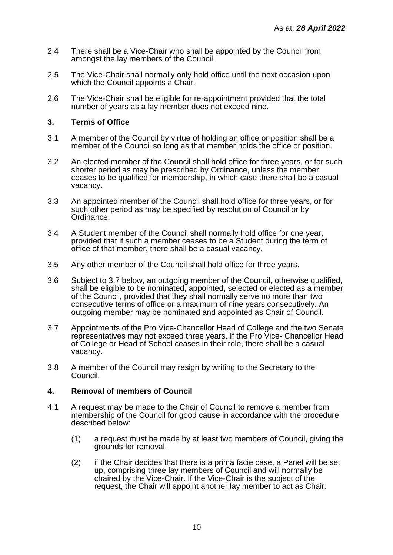- 2.4 There shall be a Vice-Chair who shall be appointed by the Council from amongst the lay members of the Council.
- 2.5 The Vice-Chair shall normally only hold office until the next occasion upon which the Council appoints a Chair.
- 2.6 The Vice-Chair shall be eligible for re-appointment provided that the total number of years as a lay member does not exceed nine.

#### **3. Terms of Office**

- 3.1 A member of the Council by virtue of holding an office or position shall be a member of the Council so long as that member holds the office or position.
- 3.2 An elected member of the Council shall hold office for three years, or for such shorter period as may be prescribed by Ordinance, unless the member ceases to be qualified for membership, in which case there shall be a casual vacancy.
- 3.3 An appointed member of the Council shall hold office for three years, or for such other period as may be specified by resolution of Council or by Ordinance.
- 3.4 A Student member of the Council shall normally hold office for one year, provided that if such a member ceases to be a Student during the term of office of that member, there shall be a casual vacancy.
- 3.5 Any other member of the Council shall hold office for three years.
- 3.6 Subject to 3.7 below, an outgoing member of the Council, otherwise qualified, shall be eligible to be nominated, appointed, selected or elected as a member of the Council, provided that they shall normally serve no more than two consecutive terms of office or a maximum of nine years consecutively. An outgoing member may be nominated and appointed as Chair of Council.
- 3.7 Appointments of the Pro Vice-Chancellor Head of College and the two Senate representatives may not exceed three years. If the Pro Vice- Chancellor Head of College or Head of School ceases in their role, there shall be a casual vacancy.
- 3.8 A member of the Council may resign by writing to the Secretary to the Council.

#### **4. Removal of members of Council**

- 4.1 A request may be made to the Chair of Council to remove a member from membership of the Council for good cause in accordance with the procedure described below:
	- (1) a request must be made by at least two members of Council, giving the grounds for removal.
	- (2) if the Chair decides that there is a prima facie case, a Panel will be set up, comprising three lay members of Council and will normally be chaired by the Vice-Chair. If the Vice-Chair is the subject of the request, the Chair will appoint another lay member to act as Chair.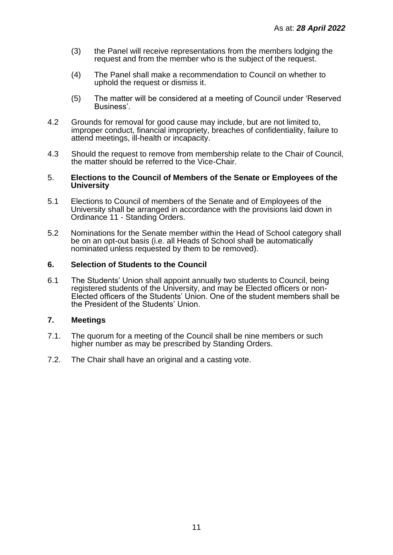- (3) the Panel will receive representations from the members lodging the request and from the member who is the subject of the request.
- (4) The Panel shall make a recommendation to Council on whether to uphold the request or dismiss it.
- (5) The matter will be considered at a meeting of Council under 'Reserved Business'.
- 4.2 Grounds for removal for good cause may include, but are not limited to, improper conduct, financial impropriety, breaches of confidentiality, failure to attend meetings, ill-health or incapacity.
- 4.3 Should the request to remove from membership relate to the Chair of Council, the matter should be referred to the Vice-Chair.

#### 5. **Elections to the Council of Members of the Senate or Employees of the University**

- 5.1 Elections to Council of members of the Senate and of Employees of the University shall be arranged in accordance with the provisions laid down in Ordinance 11 - Standing Orders.
- 5.2 Nominations for the Senate member within the Head of School category shall be on an opt-out basis (i.e. all Heads of School shall be automatically nominated unless requested by them to be removed).

#### **6. Selection of Students to the Council**

6.1 The Students' Union shall appoint annually two students to Council, being registered students of the University, and may be Elected officers or non-Elected officers of the Students' Union. One of the student members shall be the President of the Students' Union.

## **7. Meetings**

- 7.1. The quorum for a meeting of the Council shall be nine members or such higher number as may be prescribed by Standing Orders.
- 7.2. The Chair shall have an original and a casting vote.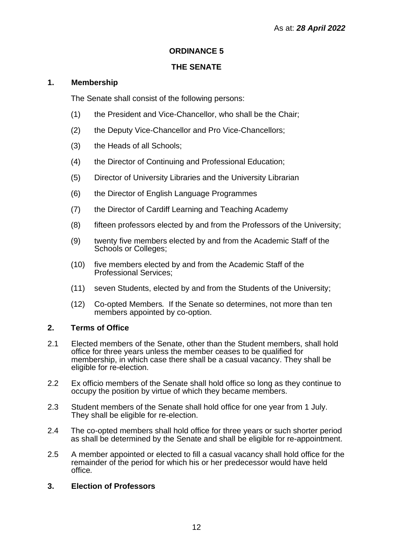## **THE SENATE**

## <span id="page-11-0"></span>**1. Membership**

The Senate shall consist of the following persons:

- (1) the President and Vice-Chancellor, who shall be the Chair;
- (2) the Deputy Vice-Chancellor and Pro Vice-Chancellors;
- (3) the Heads of all Schools;
- (4) the Director of Continuing and Professional Education;
- (5) Director of University Libraries and the University Librarian
- (6) the Director of English Language Programmes
- (7) the Director of Cardiff Learning and Teaching Academy
- (8) fifteen professors elected by and from the Professors of the University;
- (9) twenty five members elected by and from the Academic Staff of the Schools or Colleges;
- (10) five members elected by and from the Academic Staff of the Professional Services;
- (11) seven Students, elected by and from the Students of the University;
- (12) Co-opted Members*.* If the Senate so determines, not more than ten members appointed by co-option.

## **2. Terms of Office**

- 2.1 Elected members of the Senate, other than the Student members, shall hold office for three years unless the member ceases to be qualified for membership, in which case there shall be a casual vacancy. They shall be eligible for re-election.
- 2.2 Ex officio members of the Senate shall hold office so long as they continue to occupy the position by virtue of which they became members.
- 2.3 Student members of the Senate shall hold office for one year from 1 July. They shall be eligible for re-election.
- 2.4 The co-opted members shall hold office for three years or such shorter period as shall be determined by the Senate and shall be eligible for re-appointment.
- 2.5 A member appointed or elected to fill a casual vacancy shall hold office for the remainder of the period for which his or her predecessor would have held office*.*

## **3. Election of Professors**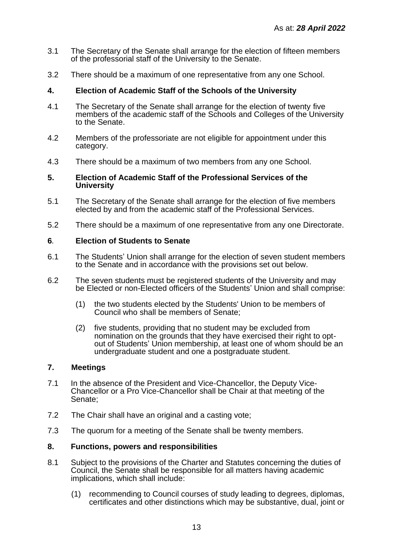- 3.1 The Secretary of the Senate shall arrange for the election of fifteen members of the professorial staff of the University to the Senate.
- 3.2 There should be a maximum of one representative from any one School.

## **4. Election of Academic Staff of the Schools of the University**

- 4.1 The Secretary of the Senate shall arrange for the election of twenty five members of the academic staff of the Schools and Colleges of the University to the Senate.
- 4.2 Members of the professoriate are not eligible for appointment under this category.
- 4.3 There should be a maximum of two members from any one School.

#### **5. Election of Academic Staff of the Professional Services of the University**

- 5.1 The Secretary of the Senate shall arrange for the election of five members elected by and from the academic staff of the Professional Services.
- 5.2 There should be a maximum of one representative from any one Directorate.

#### **6***.* **Election of Students to Senate**

- 6.1 The Students' Union shall arrange for the election of seven student members to the Senate and in accordance with the provisions set out below.
- 6.2 The seven students must be registered students of the University and may be Elected or non-Elected officers of the Students' Union and shall comprise:
	- (1) the two students elected by the Students' Union to be members of Council who shall be members of Senate;
	- (2) five students, providing that no student may be excluded from nomination on the grounds that they have exercised their right to optout of Students' Union membership, at least one of whom should be an undergraduate student and one a postgraduate student.

#### **7. Meetings**

- 7.1 In the absence of the President and Vice-Chancellor, the Deputy Vice-Chancellor or a Pro Vice-Chancellor shall be Chair at that meeting of the Senate;
- 7.2 The Chair shall have an original and a casting vote;
- 7.3 The quorum for a meeting of the Senate shall be twenty members.

## **8. Functions, powers and responsibilities**

- 8.1 Subject to the provisions of the Charter and Statutes concerning the duties of Council, the Senate shall be responsible for all matters having academic implications, which shall include:
	- (1) recommending to Council courses of study leading to degrees, diplomas, certificates and other distinctions which may be substantive, dual, joint or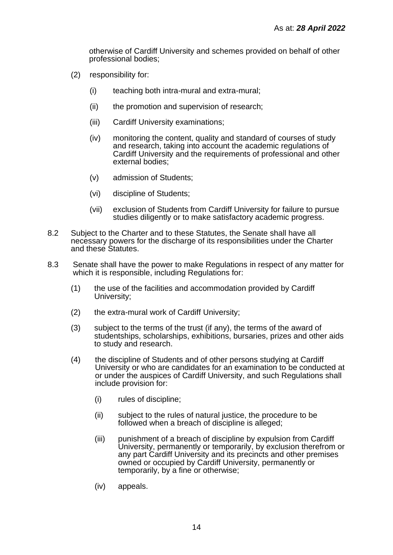otherwise of Cardiff University and schemes provided on behalf of other professional bodies;

- (2) responsibility for:
	- (i) teaching both intra-mural and extra-mural;
	- (ii) the promotion and supervision of research;
	- (iii) Cardiff University examinations;
	- (iv) monitoring the content, quality and standard of courses of study and research, taking into account the academic regulations of Cardiff University and the requirements of professional and other external bodies;
	- (v) admission of Students;
	- (vi) discipline of Students;
	- (vii) exclusion of Students from Cardiff University for failure to pursue studies diligently or to make satisfactory academic progress.
- 8.2 Subject to the Charter and to these Statutes, the Senate shall have all necessary powers for the discharge of its responsibilities under the Charter and these Statutes.
- 8.3 Senate shall have the power to make Regulations in respect of any matter for which it is responsible, including Regulations for:
	- (1) the use of the facilities and accommodation provided by Cardiff University;
	- (2) the extra-mural work of Cardiff University;
	- (3) subject to the terms of the trust (if any), the terms of the award of studentships, scholarships, exhibitions, bursaries, prizes and other aids to study and research.
	- (4) the discipline of Students and of other persons studying at Cardiff University or who are candidates for an examination to be conducted at or under the auspices of Cardiff University, and such Regulations shall include provision for:
		- (i) rules of discipline;
		- (ii) subject to the rules of natural justice, the procedure to be followed when a breach of discipline is alleged:
		- (iii) punishment of a breach of discipline by expulsion from Cardiff University, permanently or temporarily, by exclusion therefrom or any part Cardiff University and its precincts and other premises owned or occupied by Cardiff University, permanently or temporarily, by a fine or otherwise;
		- (iv) appeals.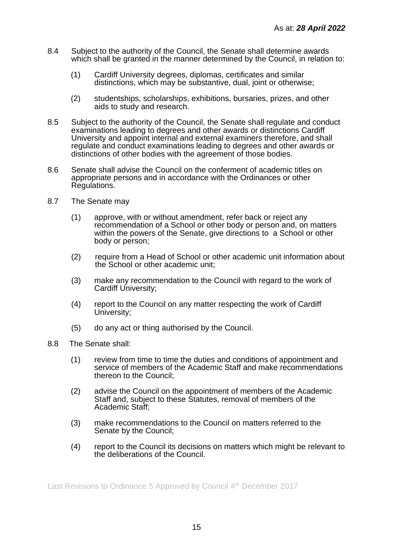- 8.4 Subject to the authority of the Council, the Senate shall determine awards which shall be granted in the manner determined by the Council, in relation to:
	- (1) Cardiff University degrees, diplomas, certificates and similar distinctions, which may be substantive, dual, joint or otherwise;
	- (2) studentships, scholarships, exhibitions, bursaries, prizes, and other aids to study and research.
- 8.5 Subject to the authority of the Council, the Senate shall regulate and conduct examinations leading to degrees and other awards or distinctions Cardiff University and appoint internal and external examiners therefore, and shall regulate and conduct examinations leading to degrees and other awards or distinctions of other bodies with the agreement of those bodies.
- 8.6 Senate shall advise the Council on the conferment of academic titles on appropriate persons and in accordance with the Ordinances or other Regulations.
- 8.7 The Senate may
	- (1) approve, with or without amendment, refer back or reject any recommendation of a School or other body or person and, on matters within the powers of the Senate, give directions to a School or other body or person;
	- (2) require from a Head of School or other academic unit information about the School or other academic unit;
	- (3) make any recommendation to the Council with regard to the work of Cardiff University;
	- (4) report to the Council on any matter respecting the work of Cardiff University;
	- (5) do any act or thing authorised by the Council.
- 8.8 The Senate shall:
	- (1) review from time to time the duties and conditions of appointment and service of members of the Academic Staff and make recommendations thereon to the Council;
	- (2) advise the Council on the appointment of members of the Academic Staff and, subject to these Statutes, removal of members of the Academic Staff;
	- (3) make recommendations to the Council on matters referred to the Senate by the Council;
	- (4) report to the Council its decisions on matters which might be relevant to the deliberations of the Council.

Last Revisions to Ordinance 5 Approved by Council 4<sup>th</sup> December 2017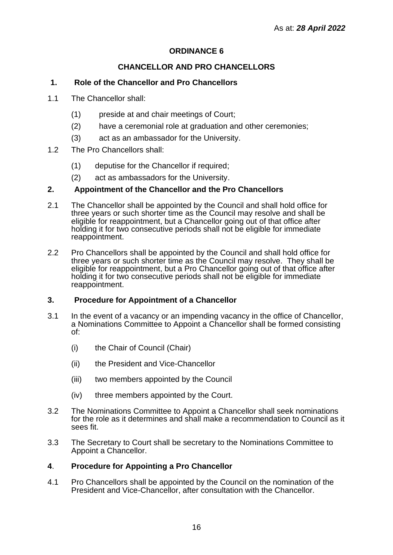## **CHANCELLOR AND PRO CHANCELLORS**

## <span id="page-15-0"></span>**1. Role of the Chancellor and Pro Chancellors**

- 1.1 The Chancellor shall:
	- (1) preside at and chair meetings of Court;
	- (2) have a ceremonial role at graduation and other ceremonies;
	- (3) act as an ambassador for the University.
- 1.2 The Pro Chancellors shall:
	- (1) deputise for the Chancellor if required;
	- (2) act as ambassadors for the University.

#### **2. Appointment of the Chancellor and the Pro Chancellors**

- 2.1 The Chancellor shall be appointed by the Council and shall hold office for three years or such shorter time as the Council may resolve and shall be eligible for reappointment, but a Chancellor going out of that office after holding it for two consecutive periods shall not be eligible for immediate reappointment.
- 2.2 Pro Chancellors shall be appointed by the Council and shall hold office for three years or such shorter time as the Council may resolve. They shall be eligible for reappointment, but a Pro Chancellor going out of that office after holding it for two consecutive periods shall not be eligible for immediate reappointment.

#### **3. Procedure for Appointment of a Chancellor**

- 3.1 In the event of a vacancy or an impending vacancy in the office of Chancellor, a Nominations Committee to Appoint a Chancellor shall be formed consisting of:
	- (i) the Chair of Council (Chair)
	- (ii) the President and Vice-Chancellor
	- (iii) two members appointed by the Council
	- (iv) three members appointed by the Court.
- 3.2 The Nominations Committee to Appoint a Chancellor shall seek nominations for the role as it determines and shall make a recommendation to Council as it sees fit.
- 3.3 The Secretary to Court shall be secretary to the Nominations Committee to Appoint a Chancellor.

#### **4**. **Procedure for Appointing a Pro Chancellor**

4.1 Pro Chancellors shall be appointed by the Council on the nomination of the President and Vice-Chancellor, after consultation with the Chancellor.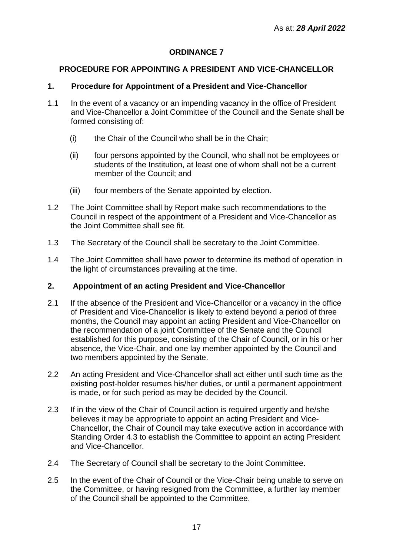## <span id="page-16-0"></span>**PROCEDURE FOR APPOINTING A PRESIDENT AND VICE-CHANCELLOR**

## **1. Procedure for Appointment of a President and Vice-Chancellor**

- 1.1 In the event of a vacancy or an impending vacancy in the office of President and Vice-Chancellor a Joint Committee of the Council and the Senate shall be formed consisting of:
	- (i) the Chair of the Council who shall be in the Chair;
	- (ii) four persons appointed by the Council, who shall not be employees or students of the Institution, at least one of whom shall not be a current member of the Council; and
	- (iii) four members of the Senate appointed by election.
- 1.2 The Joint Committee shall by Report make such recommendations to the Council in respect of the appointment of a President and Vice-Chancellor as the Joint Committee shall see fit.
- 1.3 The Secretary of the Council shall be secretary to the Joint Committee.
- 1.4 The Joint Committee shall have power to determine its method of operation in the light of circumstances prevailing at the time.

## **2. Appointment of an acting President and Vice-Chancellor**

- 2.1 If the absence of the President and Vice-Chancellor or a vacancy in the office of President and Vice-Chancellor is likely to extend beyond a period of three months, the Council may appoint an acting President and Vice-Chancellor on the recommendation of a joint Committee of the Senate and the Council established for this purpose, consisting of the Chair of Council, or in his or her absence, the Vice-Chair, and one lay member appointed by the Council and two members appointed by the Senate.
- 2.2 An acting President and Vice-Chancellor shall act either until such time as the existing post-holder resumes his/her duties, or until a permanent appointment is made, or for such period as may be decided by the Council.
- 2.3 If in the view of the Chair of Council action is required urgently and he/she believes it may be appropriate to appoint an acting President and Vice-Chancellor, the Chair of Council may take executive action in accordance with Standing Order 4.3 to establish the Committee to appoint an acting President and Vice-Chancellor.
- 2.4 The Secretary of Council shall be secretary to the Joint Committee.
- 2.5 In the event of the Chair of Council or the Vice-Chair being unable to serve on the Committee, or having resigned from the Committee, a further lay member of the Council shall be appointed to the Committee.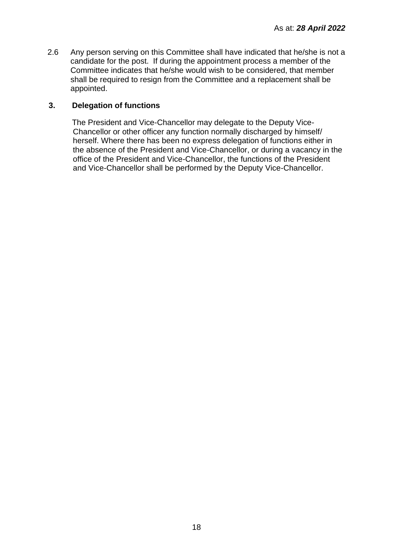2.6 Any person serving on this Committee shall have indicated that he/she is not a candidate for the post. If during the appointment process a member of the Committee indicates that he/she would wish to be considered, that member shall be required to resign from the Committee and a replacement shall be appointed.

## **3. Delegation of functions**

The President and Vice-Chancellor may delegate to the Deputy Vice-Chancellor or other officer any function normally discharged by himself/ herself. Where there has been no express delegation of functions either in the absence of the President and Vice-Chancellor, or during a vacancy in the office of the President and Vice-Chancellor, the functions of the President and Vice-Chancellor shall be performed by the Deputy Vice-Chancellor.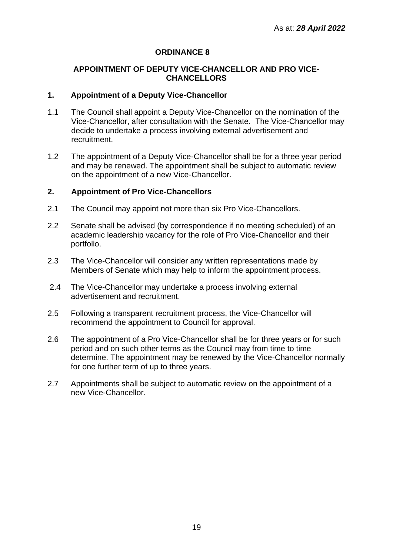#### <span id="page-18-0"></span>**APPOINTMENT OF DEPUTY VICE-CHANCELLOR AND PRO VICE-CHANCELLORS**

#### **1. Appointment of a Deputy Vice-Chancellor**

- 1.1 The Council shall appoint a Deputy Vice-Chancellor on the nomination of the Vice-Chancellor, after consultation with the Senate. The Vice-Chancellor may decide to undertake a process involving external advertisement and recruitment.
- 1.2 The appointment of a Deputy Vice-Chancellor shall be for a three year period and may be renewed. The appointment shall be subject to automatic review on the appointment of a new Vice-Chancellor.

## **2. Appointment of Pro Vice-Chancellors**

- 2.1 The Council may appoint not more than six Pro Vice-Chancellors.
- 2.2 Senate shall be advised (by correspondence if no meeting scheduled) of an academic leadership vacancy for the role of Pro Vice-Chancellor and their portfolio.
- 2.3 The Vice-Chancellor will consider any written representations made by Members of Senate which may help to inform the appointment process.
- 2.4 The Vice-Chancellor may undertake a process involving external advertisement and recruitment.
- 2.5 Following a transparent recruitment process, the Vice-Chancellor will recommend the appointment to Council for approval.
- 2.6 The appointment of a Pro Vice-Chancellor shall be for three years or for such period and on such other terms as the Council may from time to time determine. The appointment may be renewed by the Vice-Chancellor normally for one further term of up to three years.
- 2.7 Appointments shall be subject to automatic review on the appointment of a new Vice-Chancellor.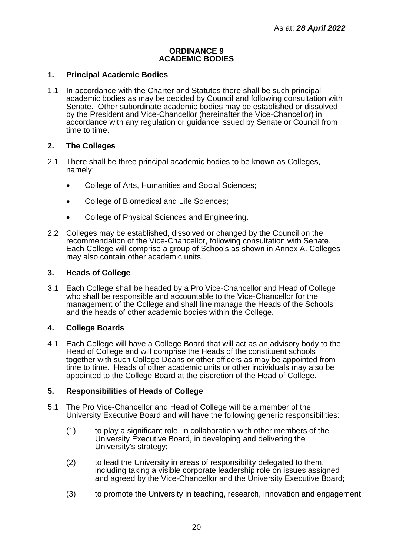#### **ORDINANCE 9 ACADEMIC BODIES**

### <span id="page-19-0"></span>**1. Principal Academic Bodies**

1.1 In accordance with the Charter and Statutes there shall be such principal academic bodies as may be decided by Council and following consultation with Senate. Other subordinate academic bodies may be established or dissolved by the President and Vice-Chancellor (hereinafter the Vice-Chancellor) in accordance with any regulation or guidance issued by Senate or Council from time to time.

## **2. The Colleges**

- 2.1 There shall be three principal academic bodies to be known as Colleges, namely:
	- College of Arts, Humanities and Social Sciences;
	- College of Biomedical and Life Sciences;
	- College of Physical Sciences and Engineering.
- 2.2 Colleges may be established, dissolved or changed by the Council on the recommendation of the Vice-Chancellor, following consultation with Senate. Each College will comprise a group of Schools as shown in Annex A. Colleges may also contain other academic units.

#### **3. Heads of College**

3.1 Each College shall be headed by a Pro Vice-Chancellor and Head of College who shall be responsible and accountable to the Vice-Chancellor for the management of the College and shall line manage the Heads of the Schools and the heads of other academic bodies within the College.

## **4. College Boards**

4.1 Each College will have a College Board that will act as an advisory body to the Head of College and will comprise the Heads of the constituent schools together with such College Deans or other officers as may be appointed from time to time. Heads of other academic units or other individuals may also be appointed to the College Board at the discretion of the Head of College.

#### **5. Responsibilities of Heads of College**

- 5.1 The Pro Vice-Chancellor and Head of College will be a member of the University Executive Board and will have the following generic responsibilities:
	- (1) to play a significant role, in collaboration with other members of the University Executive Board, in developing and delivering the University's strategy;
	- (2) to lead the University in areas of responsibility delegated to them, including taking a visible corporate leadership role on issues assigned and agreed by the Vice-Chancellor and the University Executive Board;
	- (3) to promote the University in teaching, research, innovation and engagement;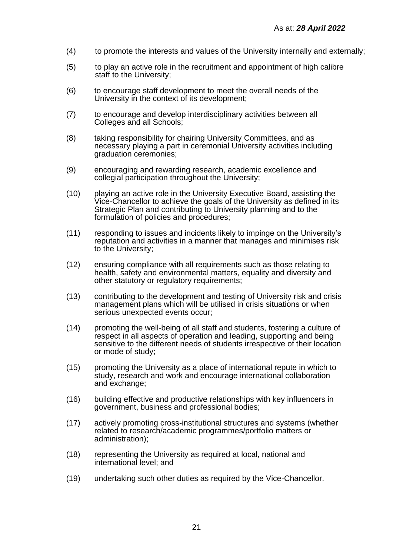- (4) to promote the interests and values of the University internally and externally;
- (5) to play an active role in the recruitment and appointment of high calibre staff to the University;
- (6) to encourage staff development to meet the overall needs of the University in the context of its development;
- (7) to encourage and develop interdisciplinary activities between all Colleges and all Schools;
- (8) taking responsibility for chairing University Committees, and as necessary playing a part in ceremonial University activities including graduation ceremonies;
- (9) encouraging and rewarding research, academic excellence and collegial participation throughout the University;
- (10) playing an active role in the University Executive Board, assisting the Vice-Chancellor to achieve the goals of the University as defined in its Strategic Plan and contributing to University planning and to the formulation of policies and procedures;
- (11) responding to issues and incidents likely to impinge on the University's reputation and activities in a manner that manages and minimises risk to the University;
- (12) ensuring compliance with all requirements such as those relating to health, safety and environmental matters, equality and diversity and other statutory or regulatory requirements;
- (13) contributing to the development and testing of University risk and crisis management plans which will be utilised in crisis situations or when serious unexpected events occur;
- (14) promoting the well-being of all staff and students, fostering a culture of respect in all aspects of operation and leading, supporting and being sensitive to the different needs of students irrespective of their location or mode of study;
- (15) promoting the University as a place of international repute in which to study, research and work and encourage international collaboration and exchange;
- (16) building effective and productive relationships with key influencers in government, business and professional bodies;
- (17) actively promoting cross-institutional structures and systems (whether related to research/academic programmes/portfolio matters or administration);
- (18) representing the University as required at local, national and international level; and
- (19) undertaking such other duties as required by the Vice-Chancellor.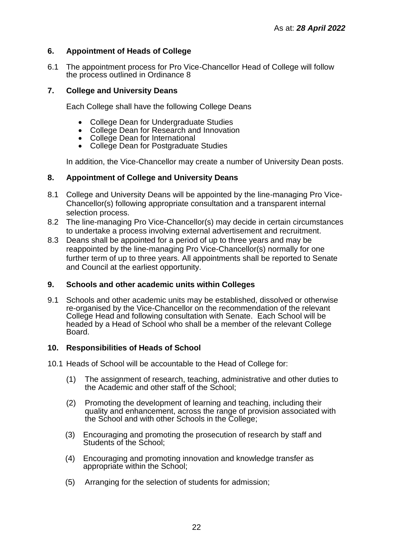## **6. Appointment of Heads of College**

6.1 The appointment process for Pro Vice-Chancellor Head of College will follow the process outlined in Ordinance 8

## **7. College and University Deans**

Each College shall have the following College Deans

- College Dean for Undergraduate Studies
- College Dean for Research and Innovation
- College Dean for International
- College Dean for Postgraduate Studies

In addition, the Vice-Chancellor may create a number of University Dean posts.

## **8. Appointment of College and University Deans**

- 8.1 College and University Deans will be appointed by the line-managing Pro Vice-Chancellor(s) following appropriate consultation and a transparent internal selection process.
- 8.2 The line-managing Pro Vice-Chancellor(s) may decide in certain circumstances to undertake a process involving external advertisement and recruitment.
- 8.3 Deans shall be appointed for a period of up to three years and may be reappointed by the line-managing Pro Vice-Chancellor(s) normally for one further term of up to three years. All appointments shall be reported to Senate and Council at the earliest opportunity.

## **9. Schools and other academic units within Colleges**

9.1 Schools and other academic units may be established, dissolved or otherwise re-organised by the Vice-Chancellor on the recommendation of the relevant College Head and following consultation with Senate. Each School will be headed by a Head of School who shall be a member of the relevant College Board.

## **10. Responsibilities of Heads of School**

- 10.1 Heads of School will be accountable to the Head of College for:
	- (1) The assignment of research, teaching, administrative and other duties to the Academic and other staff of the School;
	- (2) Promoting the development of learning and teaching, including their quality and enhancement, across the range of provision associated with the School and with other Schools in the College;
	- (3) Encouraging and promoting the prosecution of research by staff and Students of the School;
	- (4) Encouraging and promoting innovation and knowledge transfer as appropriate within the School;
	- (5) Arranging for the selection of students for admission;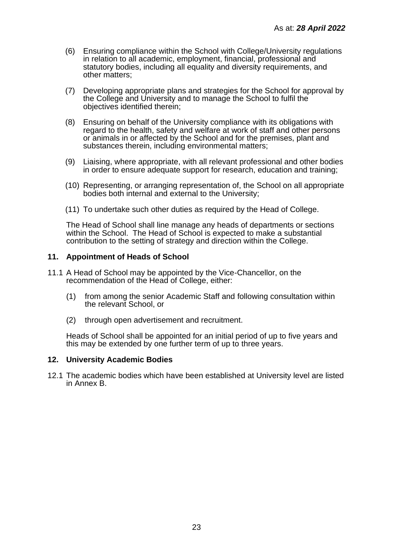- (6) Ensuring compliance within the School with College/University regulations in relation to all academic, employment, financial, professional and statutory bodies, including all equality and diversity requirements, and other matters;
- (7) Developing appropriate plans and strategies for the School for approval by the College and University and to manage the School to fulfil the objectives identified therein;
- (8) Ensuring on behalf of the University compliance with its obligations with regard to the health, safety and welfare at work of staff and other persons or animals in or affected by the School and for the premises, plant and substances therein, including environmental matters;
- (9) Liaising, where appropriate, with all relevant professional and other bodies in order to ensure adequate support for research, education and training;
- (10) Representing, or arranging representation of, the School on all appropriate bodies both internal and external to the University;
- (11) To undertake such other duties as required by the Head of College.

The Head of School shall line manage any heads of departments or sections within the School. The Head of School is expected to make a substantial contribution to the setting of strategy and direction within the College.

#### **11. Appointment of Heads of School**

- 11.1 A Head of School may be appointed by the Vice-Chancellor, on the recommendation of the Head of College, either:
	- (1) from among the senior Academic Staff and following consultation within the relevant School, or
	- (2) through open advertisement and recruitment.

Heads of School shall be appointed for an initial period of up to five years and this may be extended by one further term of up to three years.

#### **12. University Academic Bodies**

12.1 The academic bodies which have been established at University level are listed in Annex B.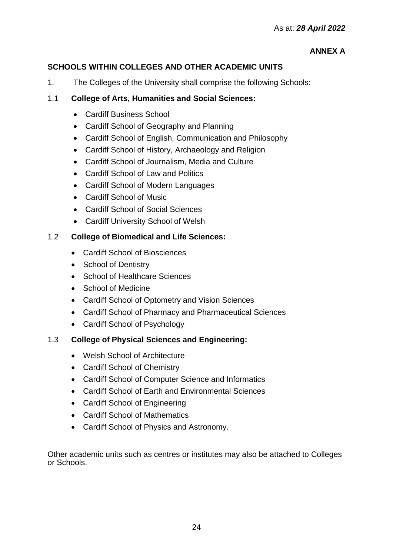# **ANNEX A**

# **SCHOOLS WITHIN COLLEGES AND OTHER ACADEMIC UNITS**

1. The Colleges of the University shall comprise the following Schools:

# 1.1 **College of Arts, Humanities and Social Sciences:**

- Cardiff Business School
- Cardiff School of Geography and Planning
- Cardiff School of English, Communication and Philosophy
- Cardiff School of History, Archaeology and Religion
- Cardiff School of Journalism, Media and Culture
- Cardiff School of Law and Politics
- Cardiff School of Modern Languages
- Cardiff School of Music
- Cardiff School of Social Sciences
- Cardiff University School of Welsh

# 1.2 **College of Biomedical and Life Sciences:**

- Cardiff School of Biosciences
- School of Dentistry
- School of Healthcare Sciences
- School of Medicine
- Cardiff School of Optometry and Vision Sciences
- Cardiff School of Pharmacy and Pharmaceutical Sciences
- Cardiff School of Psychology

## 1.3 **College of Physical Sciences and Engineering:**

- Welsh School of Architecture
- Cardiff School of Chemistry
- Cardiff School of Computer Science and Informatics
- Cardiff School of Earth and Environmental Sciences
- Cardiff School of Engineering
- Cardiff School of Mathematics
- Cardiff School of Physics and Astronomy.

Other academic units such as centres or institutes may also be attached to Colleges or Schools.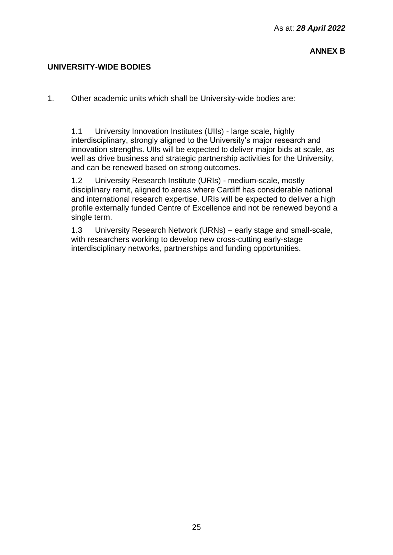## **UNIVERSITY-WIDE BODIES**

1. Other academic units which shall be University-wide bodies are:

1.1 University Innovation Institutes (UIIs) - large scale, highly interdisciplinary, strongly aligned to the University's major research and innovation strengths. UIIs will be expected to deliver major bids at scale, as well as drive business and strategic partnership activities for the University, and can be renewed based on strong outcomes.

1.2 University Research Institute (URIs) - medium-scale, mostly disciplinary remit, aligned to areas where Cardiff has considerable national and international research expertise. URIs will be expected to deliver a high profile externally funded Centre of Excellence and not be renewed beyond a single term.

1.3 University Research Network (URNs) – early stage and small-scale, with researchers working to develop new cross-cutting early-stage interdisciplinary networks, partnerships and funding opportunities.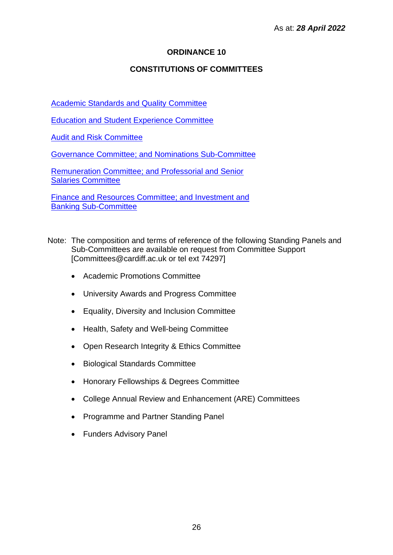## **CONSTITUTIONS OF COMMITTEES**

<span id="page-25-0"></span>[Academic Standards and Quality Committee](#page-26-0)

[Education and Student Experience Committee](#page-51-0)

[Audit and Risk Committee](#page-29-0)

[Governance Committee;](#page-33-0) and [Nominations Sub-Committee](#page-36-0)

[Remuneration Committee;](#page-38-0) and [Professorial and Senior](#page-40-0)  [Salaries Committee](#page-40-0)

[Finance and Resources Committee;](#page-42-0) and [Investment and](#page-47-0)  [Banking Sub-Committee](#page-47-0)

- Note: The composition and terms of reference of the following Standing Panels and Sub-Committees are available on request from Committee Support [Committees@cardiff.ac.uk or tel ext 74297]
	- Academic Promotions Committee
	- University Awards and Progress Committee
	- Equality, Diversity and Inclusion Committee
	- Health, Safety and Well-being Committee
	- Open Research Integrity & Ethics Committee
	- Biological Standards Committee
	- Honorary Fellowships & Degrees Committee
	- College Annual Review and Enhancement (ARE) Committees
	- Programme and Partner Standing Panel
	- Funders Advisory Panel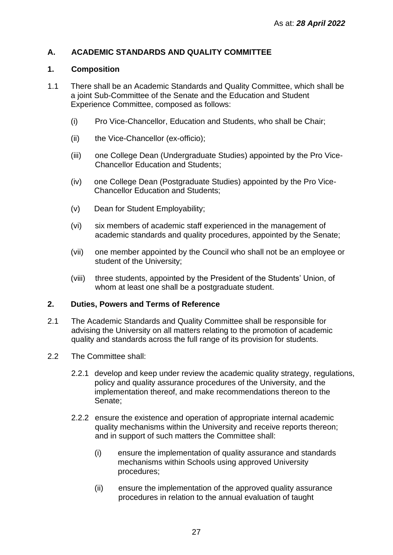# <span id="page-26-0"></span>**A. ACADEMIC STANDARDS AND QUALITY COMMITTEE**

## **1. Composition**

- 1.1 There shall be an Academic Standards and Quality Committee, which shall be a joint Sub-Committee of the Senate and the Education and Student Experience Committee, composed as follows:
	- (i) Pro Vice-Chancellor, Education and Students, who shall be Chair;
	- (ii) the Vice-Chancellor (ex-officio);
	- (iii) one College Dean (Undergraduate Studies) appointed by the Pro Vice-Chancellor Education and Students;
	- (iv) one College Dean (Postgraduate Studies) appointed by the Pro Vice-Chancellor Education and Students;
	- (v) Dean for Student Employability;
	- (vi) six members of academic staff experienced in the management of academic standards and quality procedures, appointed by the Senate;
	- (vii) one member appointed by the Council who shall not be an employee or student of the University;
	- (viii) three students, appointed by the President of the Students' Union, of whom at least one shall be a postgraduate student.

## **2. Duties, Powers and Terms of Reference**

- 2.1 The Academic Standards and Quality Committee shall be responsible for advising the University on all matters relating to the promotion of academic quality and standards across the full range of its provision for students.
- 2.2 The Committee shall:
	- 2.2.1 develop and keep under review the academic quality strategy, regulations, policy and quality assurance procedures of the University, and the implementation thereof, and make recommendations thereon to the Senate;
	- 2.2.2 ensure the existence and operation of appropriate internal academic quality mechanisms within the University and receive reports thereon; and in support of such matters the Committee shall:
		- (i) ensure the implementation of quality assurance and standards mechanisms within Schools using approved University procedures;
		- (ii) ensure the implementation of the approved quality assurance procedures in relation to the annual evaluation of taught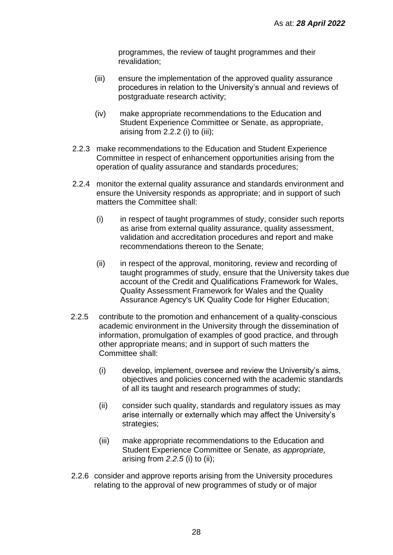programmes, the review of taught programmes and their revalidation;

- (iii) ensure the implementation of the approved quality assurance procedures in relation to the University's annual and reviews of postgraduate research activity;
- (iv) make appropriate recommendations to the Education and Student Experience Committee or Senate, as appropriate, arising from 2.2.2 (i) to (iii);
- 2.2.3 make recommendations to the Education and Student Experience Committee in respect of enhancement opportunities arising from the operation of quality assurance and standards procedures;
- 2.2.4 monitor the external quality assurance and standards environment and ensure the University responds as appropriate; and in support of such matters the Committee shall:
	- (i) in respect of taught programmes of study, consider such reports as arise from external quality assurance, quality assessment, validation and accreditation procedures and report and make recommendations thereon to the Senate;
	- (ii) in respect of the approval, monitoring, review and recording of taught programmes of study, ensure that the University takes due account of the Credit and Qualifications Framework for Wales, Quality Assessment Framework for Wales and the Quality Assurance Agency's UK Quality Code for Higher Education;
- 2.2.5 contribute to the promotion and enhancement of a quality-conscious academic environment in the University through the dissemination of information, promulgation of examples of good practice, and through other appropriate means; and in support of such matters the Committee shall:
	- (i) develop, implement, oversee and review the University's aims, objectives and policies concerned with the academic standards of all its taught and research programmes of study;
	- (ii) consider such quality, standards and regulatory issues as may arise internally or externally which may affect the University's strategies;
	- (iii) make appropriate recommendations to the Education and Student Experience Committee or Senate*, as appropriate,* arising from *2.2.5* (i) to (ii);
- 2.2.6 consider and approve reports arising from the University procedures relating to the approval of new programmes of study or of major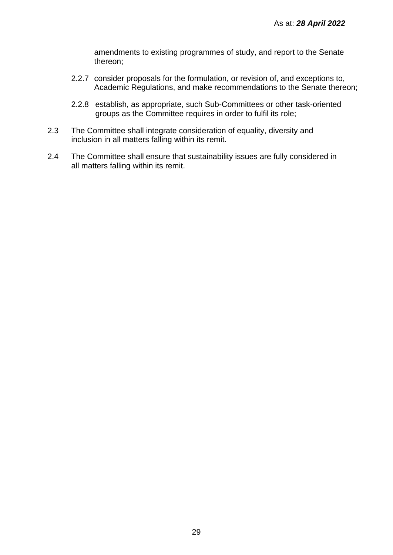amendments to existing programmes of study, and report to the Senate thereon;

- 2.2.7 consider proposals for the formulation, or revision of, and exceptions to, Academic Regulations, and make recommendations to the Senate thereon;
- 2.2.8 establish, as appropriate, such Sub-Committees or other task-oriented groups as the Committee requires in order to fulfil its role;
- 2.3 The Committee shall integrate consideration of equality, diversity and inclusion in all matters falling within its remit.
- 2.4 The Committee shall ensure that sustainability issues are fully considered in all matters falling within its remit.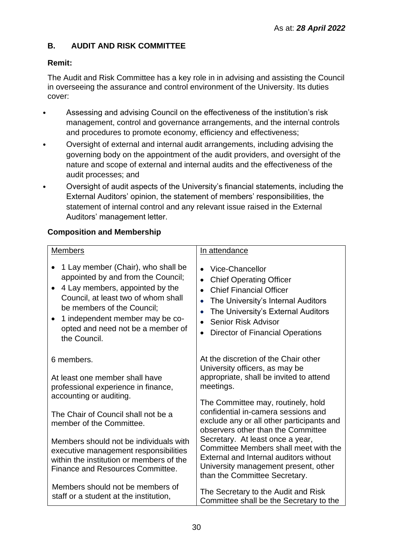# <span id="page-29-0"></span>**B. AUDIT AND RISK COMMITTEE**

# **Remit:**

The Audit and Risk Committee has a key role in in advising and assisting the Council in overseeing the assurance and control environment of the University. Its duties cover:

- Assessing and advising Council on the effectiveness of the institution's risk management, control and governance arrangements, and the internal controls and procedures to promote economy, efficiency and effectiveness;
- Oversight of external and internal audit arrangements, including advising the governing body on the appointment of the audit providers, and oversight of the nature and scope of external and internal audits and the effectiveness of the audit processes; and
- Oversight of audit aspects of the University's financial statements, including the External Auditors' opinion, the statement of members' responsibilities, the statement of internal control and any relevant issue raised in the External Auditors' management letter.

# **Composition and Membership**

| <b>Members</b>                                                                                                                                                                                                                                                                        | In attendance                                                                                                                                                                                                                                                                                                          |
|---------------------------------------------------------------------------------------------------------------------------------------------------------------------------------------------------------------------------------------------------------------------------------------|------------------------------------------------------------------------------------------------------------------------------------------------------------------------------------------------------------------------------------------------------------------------------------------------------------------------|
|                                                                                                                                                                                                                                                                                       |                                                                                                                                                                                                                                                                                                                        |
| 1 Lay member (Chair), who shall be<br>appointed by and from the Council;<br>4 Lay members, appointed by the<br>$\bullet$<br>Council, at least two of whom shall<br>be members of the Council;<br>1 independent member may be co-<br>opted and need not be a member of<br>the Council. | Vice-Chancellor<br>$\bullet$<br><b>Chief Operating Officer</b><br>$\bullet$<br><b>Chief Financial Officer</b><br>$\bullet$<br>The University's Internal Auditors<br>$\bullet$<br>The University's External Auditors<br>$\bullet$<br>Senior Risk Advisor<br>$\bullet$<br><b>Director of Financial Operations</b>        |
| 6 members.<br>At least one member shall have<br>professional experience in finance,                                                                                                                                                                                                   | At the discretion of the Chair other<br>University officers, as may be<br>appropriate, shall be invited to attend<br>meetings.                                                                                                                                                                                         |
| accounting or auditing.                                                                                                                                                                                                                                                               | The Committee may, routinely, hold                                                                                                                                                                                                                                                                                     |
| The Chair of Council shall not be a<br>member of the Committee.                                                                                                                                                                                                                       | confidential in-camera sessions and<br>exclude any or all other participants and<br>observers other than the Committee<br>Secretary. At least once a year,<br>Committee Members shall meet with the<br>External and Internal auditors without<br>University management present, other<br>than the Committee Secretary. |
| Members should not be individuals with<br>executive management responsibilities<br>within the institution or members of the<br>Finance and Resources Committee.                                                                                                                       |                                                                                                                                                                                                                                                                                                                        |
| Members should not be members of<br>staff or a student at the institution,                                                                                                                                                                                                            | The Secretary to the Audit and Risk<br>Committee shall be the Secretary to the                                                                                                                                                                                                                                         |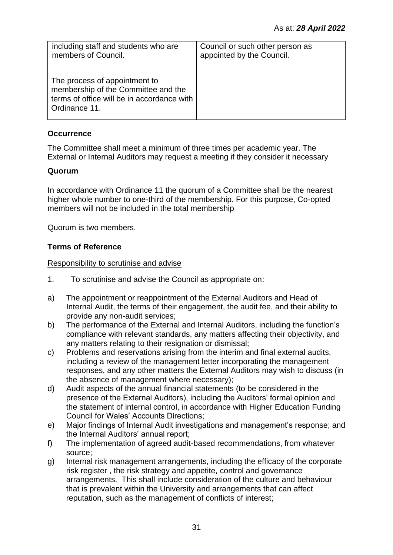| including staff and students who are<br>members of Council.                                                                         | Council or such other person as<br>appointed by the Council. |
|-------------------------------------------------------------------------------------------------------------------------------------|--------------------------------------------------------------|
| The process of appointment to<br>membership of the Committee and the<br>terms of office will be in accordance with<br>Ordinance 11. |                                                              |

# **Occurrence**

The Committee shall meet a minimum of three times per academic year. The External or Internal Auditors may request a meeting if they consider it necessary

## **Quorum**

In accordance with Ordinance 11 the quorum of a Committee shall be the nearest higher whole number to one-third of the membership. For this purpose, Co-opted members will not be included in the total membership

Quorum is two members.

## **Terms of Reference**

## Responsibility to scrutinise and advise

- 1. To scrutinise and advise the Council as appropriate on:
- a) The appointment or reappointment of the External Auditors and Head of Internal Audit, the terms of their engagement, the audit fee, and their ability to provide any non-audit services;
- b) The performance of the External and Internal Auditors, including the function's compliance with relevant standards, any matters affecting their objectivity, and any matters relating to their resignation or dismissal;
- c) Problems and reservations arising from the interim and final external audits, including a review of the management letter incorporating the management responses, and any other matters the External Auditors may wish to discuss (in the absence of management where necessary);
- d) Audit aspects of the annual financial statements (to be considered in the presence of the External Auditors), including the Auditors' formal opinion and the statement of internal control, in accordance with Higher Education Funding Council for Wales' Accounts Directions;
- e) Major findings of Internal Audit investigations and management's response; and the Internal Auditors' annual report;
- f) The implementation of agreed audit-based recommendations, from whatever source;
- g) Internal risk management arrangements, including the efficacy of the corporate risk register , the risk strategy and appetite, control and governance arrangements. This shall include consideration of the culture and behaviour that is prevalent within the University and arrangements that can affect reputation, such as the management of conflicts of interest;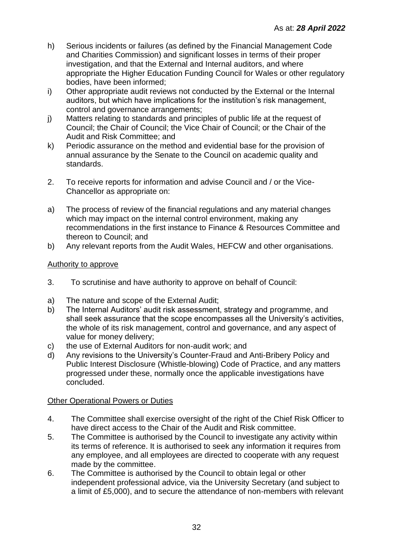- h) Serious incidents or failures (as defined by the Financial Management Code and Charities Commission) and significant losses in terms of their proper investigation, and that the External and Internal auditors, and where appropriate the Higher Education Funding Council for Wales or other regulatory bodies, have been informed;
- i) Other appropriate audit reviews not conducted by the External or the Internal auditors, but which have implications for the institution's risk management, control and governance arrangements;
- j) Matters relating to standards and principles of public life at the request of Council; the Chair of Council; the Vice Chair of Council; or the Chair of the Audit and Risk Committee; and
- k) Periodic assurance on the method and evidential base for the provision of annual assurance by the Senate to the Council on academic quality and standards.
- 2. To receive reports for information and advise Council and / or the Vice-Chancellor as appropriate on:
- a) The process of review of the financial regulations and any material changes which may impact on the internal control environment, making any recommendations in the first instance to Finance & Resources Committee and thereon to Council; and
- b) Any relevant reports from the Audit Wales, HEFCW and other organisations.

## Authority to approve

- 3. To scrutinise and have authority to approve on behalf of Council:
- a) The nature and scope of the External Audit;
- b) The Internal Auditors' audit risk assessment, strategy and programme, and shall seek assurance that the scope encompasses all the University's activities, the whole of its risk management, control and governance, and any aspect of value for money delivery;
- c) the use of External Auditors for non-audit work; and
- d) Any revisions to the University's Counter-Fraud and Anti-Bribery Policy and Public Interest Disclosure (Whistle-blowing) Code of Practice, and any matters progressed under these, normally once the applicable investigations have concluded.

## Other Operational Powers or Duties

- 4. The Committee shall exercise oversight of the right of the Chief Risk Officer to have direct access to the Chair of the Audit and Risk committee.
- 5. The Committee is authorised by the Council to investigate any activity within its terms of reference. It is authorised to seek any information it requires from any employee, and all employees are directed to cooperate with any request made by the committee.
- 6. The Committee is authorised by the Council to obtain legal or other independent professional advice, via the University Secretary (and subject to a limit of £5,000), and to secure the attendance of non-members with relevant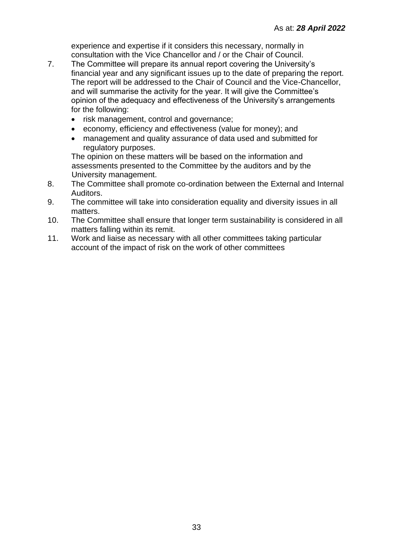experience and expertise if it considers this necessary, normally in consultation with the Vice Chancellor and / or the Chair of Council.

- 7. The Committee will prepare its annual report covering the University's financial year and any significant issues up to the date of preparing the report. The report will be addressed to the Chair of Council and the Vice-Chancellor, and will summarise the activity for the year. It will give the Committee's opinion of the adequacy and effectiveness of the University's arrangements for the following:
	- risk management, control and governance;
	- economy, efficiency and effectiveness (value for money); and
	- management and quality assurance of data used and submitted for regulatory purposes.

The opinion on these matters will be based on the information and assessments presented to the Committee by the auditors and by the University management.

- 8. The Committee shall promote co-ordination between the External and Internal Auditors.
- 9. The committee will take into consideration equality and diversity issues in all matters.
- 10. The Committee shall ensure that longer term sustainability is considered in all matters falling within its remit.
- 11. Work and liaise as necessary with all other committees taking particular account of the impact of risk on the work of other committees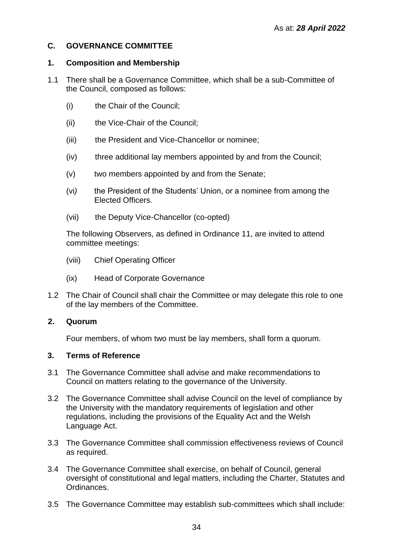# <span id="page-33-0"></span>**C. GOVERNANCE COMMITTEE**

## **1. Composition and Membership**

- 1.1 There shall be a Governance Committee, which shall be a sub-Committee of the Council, composed as follows:
	- (i) the Chair of the Council;
	- (ii) the Vice-Chair of the Council;
	- (iii) the President and Vice-Chancellor or nominee;
	- (iv) three additional lay members appointed by and from the Council;
	- (v) two members appointed by and from the Senate;
	- (vi*)* the President of the Students' Union, or a nominee from among the Elected Officers.
	- (vii) the Deputy Vice-Chancellor (co-opted)

The following Observers, as defined in Ordinance 11, are invited to attend committee meetings:

- (viii) Chief Operating Officer
- (ix) Head of Corporate Governance
- 1.2 The Chair of Council shall chair the Committee or may delegate this role to one of the lay members of the Committee.

## **2. Quorum**

Four members, of whom two must be lay members, shall form a quorum.

## **3. Terms of Reference**

- 3.1 The Governance Committee shall advise and make recommendations to Council on matters relating to the governance of the University.
- 3.2 The Governance Committee shall advise Council on the level of compliance by the University with the mandatory requirements of legislation and other regulations, including the provisions of the Equality Act and the Welsh Language Act.
- 3.3 The Governance Committee shall commission effectiveness reviews of Council as required.
- 3.4 The Governance Committee shall exercise, on behalf of Council, general oversight of constitutional and legal matters, including the Charter, Statutes and Ordinances.
- 3.5 The Governance Committee may establish sub-committees which shall include: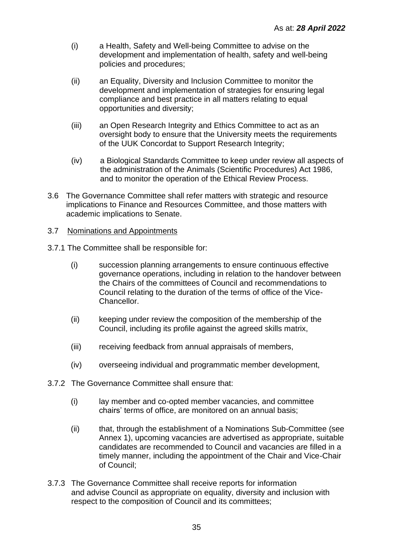- (i) a Health, Safety and Well-being Committee to advise on the development and implementation of health, safety and well-being policies and procedures;
- (ii) an Equality, Diversity and Inclusion Committee to monitor the development and implementation of strategies for ensuring legal compliance and best practice in all matters relating to equal opportunities and diversity;
- (iii) an Open Research Integrity and Ethics Committee to act as an oversight body to ensure that the University meets the requirements of the UUK Concordat to Support Research Integrity;
- (iv) a Biological Standards Committee to keep under review all aspects of the administration of the Animals (Scientific Procedures) Act 1986, and to monitor the operation of the Ethical Review Process.
- 3.6 The Governance Committee shall refer matters with strategic and resource implications to Finance and Resources Committee, and those matters with academic implications to Senate.

## 3.7 Nominations and Appointments

- 3.7.1 The Committee shall be responsible for:
	- (i) succession planning arrangements to ensure continuous effective governance operations, including in relation to the handover between the Chairs of the committees of Council and recommendations to Council relating to the duration of the terms of office of the Vice-Chancellor.
	- (ii) keeping under review the composition of the membership of the Council, including its profile against the agreed skills matrix,
	- (iii) receiving feedback from annual appraisals of members,
	- (iv) overseeing individual and programmatic member development,
- 3.7.2 The Governance Committee shall ensure that:
	- (i) lay member and co-opted member vacancies, and committee chairs' terms of office, are monitored on an annual basis;
	- (ii) that, through the establishment of a Nominations Sub-Committee (see Annex 1), upcoming vacancies are advertised as appropriate, suitable candidates are recommended to Council and vacancies are filled in a timely manner, including the appointment of the Chair and Vice-Chair of Council;
- 3.7.3 The Governance Committee shall receive reports for information and advise Council as appropriate on equality, diversity and inclusion with respect to the composition of Council and its committees;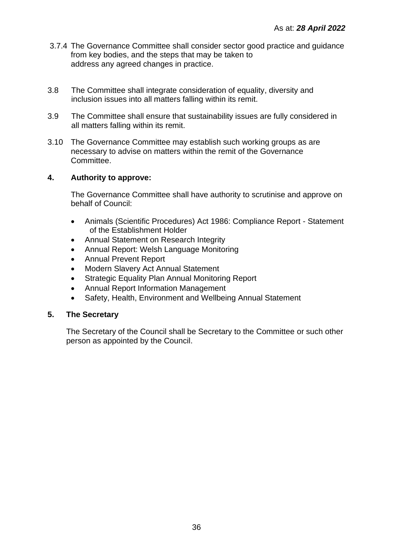- 3.7.4 The Governance Committee shall consider sector good practice and guidance from key bodies, and the steps that may be taken to address any agreed changes in practice.
- 3.8 The Committee shall integrate consideration of equality, diversity and inclusion issues into all matters falling within its remit.
- 3.9 The Committee shall ensure that sustainability issues are fully considered in all matters falling within its remit.
- 3.10 The Governance Committee may establish such working groups as are necessary to advise on matters within the remit of the Governance Committee.

## **4. Authority to approve:**

The Governance Committee shall have authority to scrutinise and approve on behalf of Council:

- Animals (Scientific Procedures) Act 1986: Compliance Report Statement of the Establishment Holder
- Annual Statement on Research Integrity
- Annual Report: Welsh Language Monitoring
- Annual Prevent Report
- Modern Slavery Act Annual Statement
- Strategic Equality Plan Annual Monitoring Report
- Annual Report Information Management
- Safety, Health, Environment and Wellbeing Annual Statement

## **5. The Secretary**

The Secretary of the Council shall be Secretary to the Committee or such other person as appointed by the Council.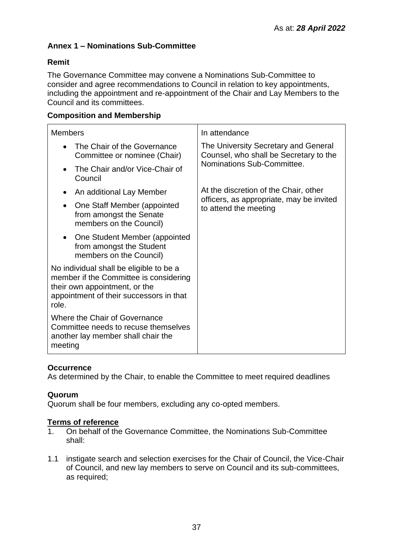## **Annex 1 – Nominations Sub-Committee**

## **Remit**

The Governance Committee may convene a Nominations Sub-Committee to consider and agree recommendations to Council in relation to key appointments, including the appointment and re-appointment of the Chair and Lay Members to the Council and its committees.

## **Composition and Membership**

| <b>Members</b>                                                                                                                                                         | In attendance                                                                  |  |  |
|------------------------------------------------------------------------------------------------------------------------------------------------------------------------|--------------------------------------------------------------------------------|--|--|
| The Chair of the Governance<br>$\bullet$<br>Committee or nominee (Chair)                                                                                               | The University Secretary and General<br>Counsel, who shall be Secretary to the |  |  |
| The Chair and/or Vice-Chair of<br>$\bullet$<br>Council                                                                                                                 | Nominations Sub-Committee.                                                     |  |  |
| An additional Lay Member                                                                                                                                               | At the discretion of the Chair, other                                          |  |  |
| One Staff Member (appointed<br>٠<br>from amongst the Senate<br>members on the Council)                                                                                 | officers, as appropriate, may be invited<br>to attend the meeting              |  |  |
| One Student Member (appointed<br>$\bullet$<br>from amongst the Student<br>members on the Council)                                                                      |                                                                                |  |  |
| No individual shall be eligible to be a<br>member if the Committee is considering<br>their own appointment, or the<br>appointment of their successors in that<br>role. |                                                                                |  |  |
| Where the Chair of Governance<br>Committee needs to recuse themselves<br>another lay member shall chair the<br>meeting                                                 |                                                                                |  |  |

## **Occurrence**

As determined by the Chair, to enable the Committee to meet required deadlines

## **Quorum**

Quorum shall be four members, excluding any co-opted members.

## **Terms of reference**

- 1. On behalf of the Governance Committee, the Nominations Sub-Committee shall:
- 1.1 instigate search and selection exercises for the Chair of Council, the Vice-Chair of Council, and new lay members to serve on Council and its sub-committees, as required;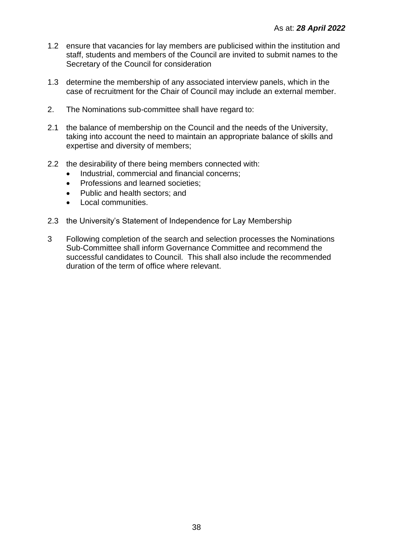- 1.2 ensure that vacancies for lay members are publicised within the institution and staff, students and members of the Council are invited to submit names to the Secretary of the Council for consideration
- 1.3 determine the membership of any associated interview panels, which in the case of recruitment for the Chair of Council may include an external member.
- 2. The Nominations sub-committee shall have regard to:
- 2.1 the balance of membership on the Council and the needs of the University, taking into account the need to maintain an appropriate balance of skills and expertise and diversity of members;
- 2.2 the desirability of there being members connected with:
	- Industrial, commercial and financial concerns;
	- Professions and learned societies:
	- Public and health sectors; and
	- Local communities.
- 2.3 the University's Statement of Independence for Lay Membership
- 3 Following completion of the search and selection processes the Nominations Sub-Committee shall inform Governance Committee and recommend the successful candidates to Council. This shall also include the recommended duration of the term of office where relevant.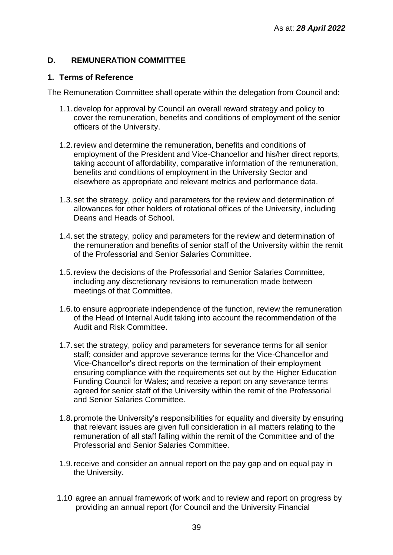## **D. REMUNERATION COMMITTEE**

## **1. Terms of Reference**

The Remuneration Committee shall operate within the delegation from Council and:

- 1.1.develop for approval by Council an overall reward strategy and policy to cover the remuneration, benefits and conditions of employment of the senior officers of the University.
- 1.2.review and determine the remuneration, benefits and conditions of employment of the President and Vice-Chancellor and his/her direct reports, taking account of affordability, comparative information of the remuneration, benefits and conditions of employment in the University Sector and elsewhere as appropriate and relevant metrics and performance data.
- 1.3.set the strategy, policy and parameters for the review and determination of allowances for other holders of rotational offices of the University, including Deans and Heads of School.
- 1.4.set the strategy, policy and parameters for the review and determination of the remuneration and benefits of senior staff of the University within the remit of the Professorial and Senior Salaries Committee.
- 1.5.review the decisions of the Professorial and Senior Salaries Committee, including any discretionary revisions to remuneration made between meetings of that Committee.
- 1.6.to ensure appropriate independence of the function, review the remuneration of the Head of Internal Audit taking into account the recommendation of the Audit and Risk Committee.
- 1.7.set the strategy, policy and parameters for severance terms for all senior staff; consider and approve severance terms for the Vice-Chancellor and Vice-Chancellor's direct reports on the termination of their employment ensuring compliance with the requirements set out by the Higher Education Funding Council for Wales; and receive a report on any severance terms agreed for senior staff of the University within the remit of the Professorial and Senior Salaries Committee.
- 1.8.promote the University's responsibilities for equality and diversity by ensuring that relevant issues are given full consideration in all matters relating to the remuneration of all staff falling within the remit of the Committee and of the Professorial and Senior Salaries Committee.
- 1.9.receive and consider an annual report on the pay gap and on equal pay in the University.
- 1.10 agree an annual framework of work and to review and report on progress by providing an annual report (for Council and the University Financial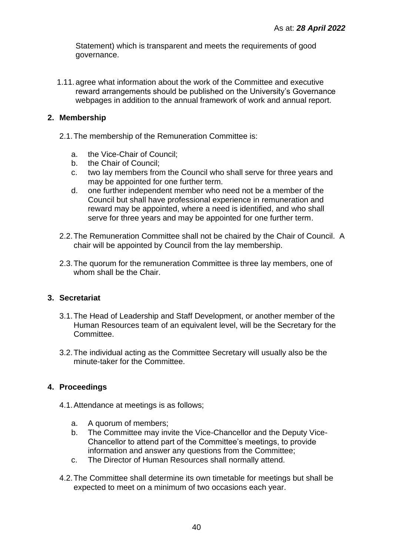Statement) which is transparent and meets the requirements of good governance.

1.11. agree what information about the work of the Committee and executive reward arrangements should be published on the University's Governance webpages in addition to the annual framework of work and annual report.

## **2. Membership**

- 2.1.The membership of the Remuneration Committee is:
	- a. the Vice-Chair of Council;
	- b. the Chair of Council;
	- c. two lay members from the Council who shall serve for three years and may be appointed for one further term.
	- d. one further independent member who need not be a member of the Council but shall have professional experience in remuneration and reward may be appointed, where a need is identified, and who shall serve for three years and may be appointed for one further term.
- 2.2.The Remuneration Committee shall not be chaired by the Chair of Council. A chair will be appointed by Council from the lay membership.
- 2.3.The quorum for the remuneration Committee is three lay members, one of whom shall be the Chair.

## **3. Secretariat**

- 3.1.The Head of Leadership and Staff Development, or another member of the Human Resources team of an equivalent level, will be the Secretary for the Committee.
- 3.2.The individual acting as the Committee Secretary will usually also be the minute-taker for the Committee.

## **4. Proceedings**

- 4.1.Attendance at meetings is as follows;
	- a. A quorum of members;
	- b. The Committee may invite the Vice-Chancellor and the Deputy Vice-Chancellor to attend part of the Committee's meetings, to provide information and answer any questions from the Committee;
	- c. The Director of Human Resources shall normally attend.
- 4.2.The Committee shall determine its own timetable for meetings but shall be expected to meet on a minimum of two occasions each year.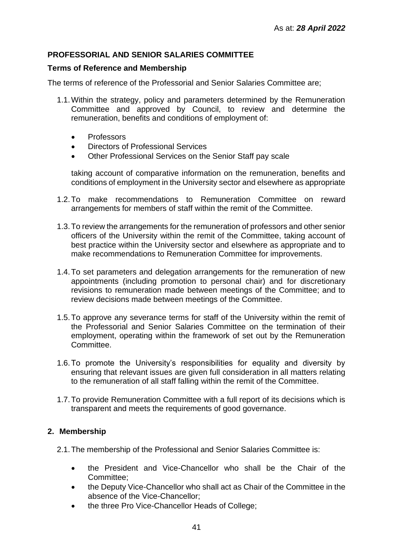## **PROFESSORIAL AND SENIOR SALARIES COMMITTEE**

## **Terms of Reference and Membership**

The terms of reference of the Professorial and Senior Salaries Committee are;

- 1.1.Within the strategy, policy and parameters determined by the Remuneration Committee and approved by Council, to review and determine the remuneration, benefits and conditions of employment of:
	- Professors
	- Directors of Professional Services
	- Other Professional Services on the Senior Staff pay scale

taking account of comparative information on the remuneration, benefits and conditions of employment in the University sector and elsewhere as appropriate

- 1.2.To make recommendations to Remuneration Committee on reward arrangements for members of staff within the remit of the Committee.
- 1.3.To review the arrangements for the remuneration of professors and other senior officers of the University within the remit of the Committee, taking account of best practice within the University sector and elsewhere as appropriate and to make recommendations to Remuneration Committee for improvements.
- 1.4.To set parameters and delegation arrangements for the remuneration of new appointments (including promotion to personal chair) and for discretionary revisions to remuneration made between meetings of the Committee; and to review decisions made between meetings of the Committee.
- 1.5.To approve any severance terms for staff of the University within the remit of the Professorial and Senior Salaries Committee on the termination of their employment, operating within the framework of set out by the Remuneration **Committee.**
- 1.6.To promote the University's responsibilities for equality and diversity by ensuring that relevant issues are given full consideration in all matters relating to the remuneration of all staff falling within the remit of the Committee.
- 1.7.To provide Remuneration Committee with a full report of its decisions which is transparent and meets the requirements of good governance.

## **2. Membership**

- 2.1.The membership of the Professional and Senior Salaries Committee is:
	- the President and Vice-Chancellor who shall be the Chair of the Committee;
	- the Deputy Vice-Chancellor who shall act as Chair of the Committee in the absence of the Vice-Chancellor;
	- the three Pro Vice-Chancellor Heads of College;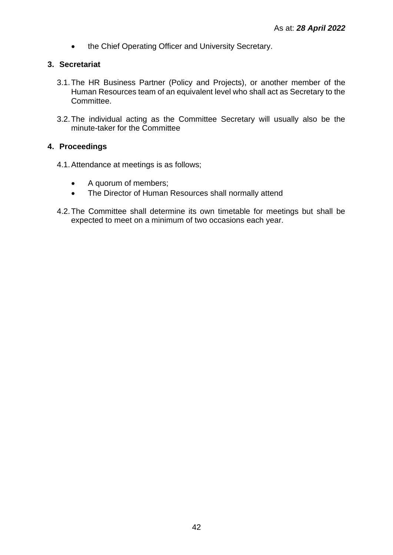• the Chief Operating Officer and University Secretary.

## **3. Secretariat**

- 3.1.The HR Business Partner (Policy and Projects), or another member of the Human Resources team of an equivalent level who shall act as Secretary to the Committee.
- 3.2.The individual acting as the Committee Secretary will usually also be the minute-taker for the Committee

## **4. Proceedings**

- 4.1.Attendance at meetings is as follows;
	- A quorum of members;
	- The Director of Human Resources shall normally attend
- 4.2.The Committee shall determine its own timetable for meetings but shall be expected to meet on a minimum of two occasions each year.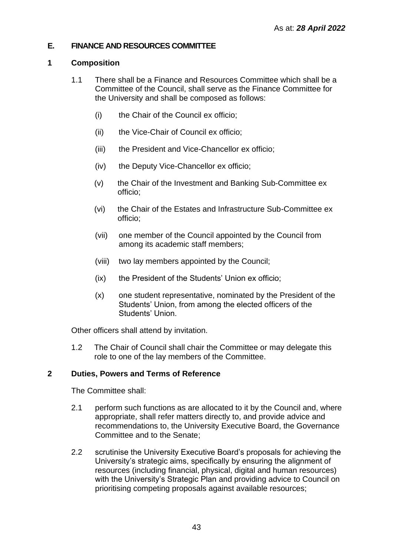## **E. FINANCE AND RESOURCES COMMITTEE**

## **1 Composition**

- 1.1 There shall be a Finance and Resources Committee which shall be a Committee of the Council, shall serve as the Finance Committee for the University and shall be composed as follows:
	- (i) the Chair of the Council ex officio;
	- (ii) the Vice-Chair of Council ex officio;
	- (iii) the President and Vice-Chancellor ex officio;
	- (iv) the Deputy Vice-Chancellor ex officio;
	- (v) the Chair of the Investment and Banking Sub-Committee ex officio;
	- (vi) the Chair of the Estates and Infrastructure Sub-Committee ex officio;
	- (vii) one member of the Council appointed by the Council from among its academic staff members;
	- (viii) two lay members appointed by the Council;
	- (ix) the President of the Students' Union ex officio;
	- (x) one student representative, nominated by the President of the Students' Union, from among the elected officers of the Students' Union.

Other officers shall attend by invitation.

1.2 The Chair of Council shall chair the Committee or may delegate this role to one of the lay members of the Committee.

## **2 Duties, Powers and Terms of Reference**

The Committee shall:

- 2.1 perform such functions as are allocated to it by the Council and, where appropriate, shall refer matters directly to, and provide advice and recommendations to, the University Executive Board, the Governance Committee and to the Senate;
- 2.2 scrutinise the University Executive Board's proposals for achieving the University's strategic aims, specifically by ensuring the alignment of resources (including financial, physical, digital and human resources) with the University's Strategic Plan and providing advice to Council on prioritising competing proposals against available resources;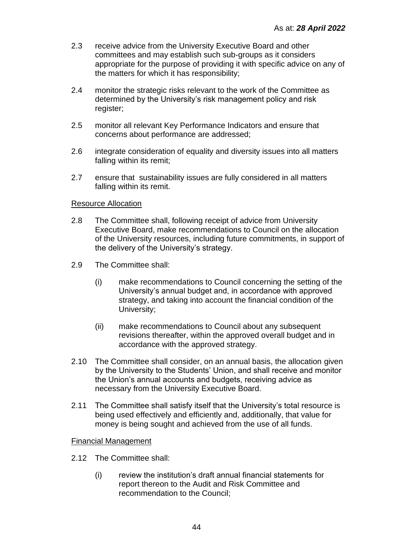- 2.3 receive advice from the University Executive Board and other committees and may establish such sub-groups as it considers appropriate for the purpose of providing it with specific advice on any of the matters for which it has responsibility;
- 2.4 monitor the strategic risks relevant to the work of the Committee as determined by the University's risk management policy and risk register;
- 2.5 monitor all relevant Key Performance Indicators and ensure that concerns about performance are addressed;
- 2.6 integrate consideration of equality and diversity issues into all matters falling within its remit;
- 2.7 ensure that sustainability issues are fully considered in all matters falling within its remit.

## Resource Allocation

- 2.8 The Committee shall, following receipt of advice from University Executive Board, make recommendations to Council on the allocation of the University resources, including future commitments, in support of the delivery of the University's strategy.
- 2.9 The Committee shall:
	- (i) make recommendations to Council concerning the setting of the University's annual budget and, in accordance with approved strategy, and taking into account the financial condition of the University;
	- (ii) make recommendations to Council about any subsequent revisions thereafter, within the approved overall budget and in accordance with the approved strategy.
- 2.10 The Committee shall consider, on an annual basis, the allocation given by the University to the Students' Union, and shall receive and monitor the Union's annual accounts and budgets, receiving advice as necessary from the University Executive Board.
- 2.11 The Committee shall satisfy itself that the University's total resource is being used effectively and efficiently and, additionally, that value for money is being sought and achieved from the use of all funds.

## Financial Management

- 2.12 The Committee shall:
	- (i) review the institution's draft annual financial statements for report thereon to the Audit and Risk Committee and recommendation to the Council;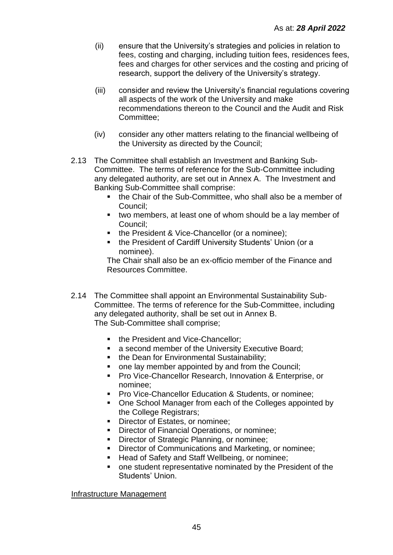- (ii) ensure that the University's strategies and policies in relation to fees, costing and charging, including tuition fees, residences fees, fees and charges for other services and the costing and pricing of research, support the delivery of the University's strategy.
- (iii) consider and review the University's financial regulations covering all aspects of the work of the University and make recommendations thereon to the Council and the Audit and Risk Committee;
- (iv) consider any other matters relating to the financial wellbeing of the University as directed by the Council;
- 2.13 The Committee shall establish an Investment and Banking Sub-Committee. The terms of reference for the Sub-Committee including any delegated authority, are set out in Annex A. The Investment and Banking Sub-Committee shall comprise:
	- the Chair of the Sub-Committee, who shall also be a member of Council;
	- two members, at least one of whom should be a lay member of Council;
	- the President & Vice-Chancellor (or a nominee);
	- the President of Cardiff University Students' Union (or a nominee).

The Chair shall also be an ex-officio member of the Finance and Resources Committee.

- 2.14 The Committee shall appoint an Environmental Sustainability Sub-Committee. The terms of reference for the Sub-Committee, including any delegated authority, shall be set out in Annex B. The Sub-Committee shall comprise;
	- the President and Vice-Chancellor:
	- a second member of the University Executive Board;
	- **the Dean for Environmental Sustainability;**
	- one lay member appointed by and from the Council;
	- Pro Vice-Chancellor Research, Innovation & Enterprise, or nominee;
	- **Pro Vice-Chancellor Education & Students, or nominee:**
	- One School Manager from each of the Colleges appointed by the College Registrars;
	- Director of Estates, or nominee;
	- **Director of Financial Operations, or nominee:**
	- Director of Strategic Planning, or nominee;
	- **Director of Communications and Marketing, or nominee;**
	- Head of Safety and Staff Wellbeing, or nominee;
	- one student representative nominated by the President of the Students' Union.

Infrastructure Management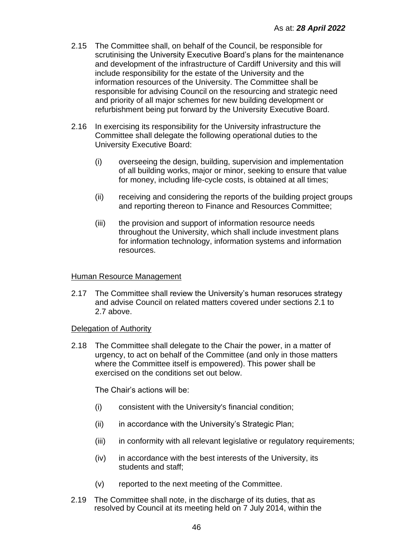- 2.15 The Committee shall, on behalf of the Council, be responsible for scrutinising the University Executive Board's plans for the maintenance and development of the infrastructure of Cardiff University and this will include responsibility for the estate of the University and the information resources of the University. The Committee shall be responsible for advising Council on the resourcing and strategic need and priority of all major schemes for new building development or refurbishment being put forward by the University Executive Board.
- 2.16 In exercising its responsibility for the University infrastructure the Committee shall delegate the following operational duties to the University Executive Board:
	- (i) overseeing the design, building, supervision and implementation of all building works, major or minor, seeking to ensure that value for money, including life-cycle costs, is obtained at all times;
	- (ii) receiving and considering the reports of the building project groups and reporting thereon to Finance and Resources Committee;
	- (iii) the provision and support of information resource needs throughout the University, which shall include investment plans for information technology, information systems and information resources.

### Human Resource Management

2.17 The Committee shall review the University's human resoruces strategy and advise Council on related matters covered under sections 2.1 to 2.7 above.

#### Delegation of Authority

2.18 The Committee shall delegate to the Chair the power, in a matter of urgency, to act on behalf of the Committee (and only in those matters where the Committee itself is empowered). This power shall be exercised on the conditions set out below.

The Chair's actions will be:

- (i) consistent with the University's financial condition;
- (ii) in accordance with the University's Strategic Plan;
- (iii) in conformity with all relevant legislative or regulatory requirements;
- (iv) in accordance with the best interests of the University, its students and staff;
- (v) reported to the next meeting of the Committee.
- 2.19 The Committee shall note, in the discharge of its duties, that as resolved by Council at its meeting held on 7 July 2014, within the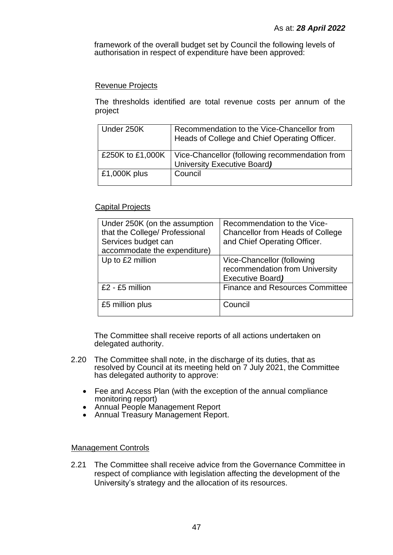framework of the overall budget set by Council the following levels of authorisation in respect of expenditure have been approved:

## Revenue Projects

The thresholds identified are total revenue costs per annum of the project

| Under 250K      | Recommendation to the Vice-Chancellor from<br>Heads of College and Chief Operating Officer.      |
|-----------------|--------------------------------------------------------------------------------------------------|
|                 | £250K to £1,000K   Vice-Chancellor (following recommendation from<br>University Executive Board) |
| £1,000 $K$ plus | Council                                                                                          |

## Capital Projects

| Under 250K (on the assumption<br>that the College/ Professional<br>Services budget can<br>accommodate the expenditure) | Recommendation to the Vice-<br><b>Chancellor from Heads of College</b><br>and Chief Operating Officer. |
|------------------------------------------------------------------------------------------------------------------------|--------------------------------------------------------------------------------------------------------|
| Up to £2 million                                                                                                       | Vice-Chancellor (following<br>recommendation from University<br>Executive Board)                       |
| $£2 - £5$ million                                                                                                      | <b>Finance and Resources Committee</b>                                                                 |
| £5 million plus                                                                                                        | Council                                                                                                |

The Committee shall receive reports of all actions undertaken on delegated authority.

- 2.20 The Committee shall note, in the discharge of its duties, that as resolved by Council at its meeting held on 7 July 2021, the Committee has delegated authority to approve:
	- Fee and Access Plan (with the exception of the annual compliance monitoring report)
	- Annual People Management Report
	- Annual Treasury Management Report.

#### Management Controls

2.21 The Committee shall receive advice from the Governance Committee in respect of compliance with legislation affecting the development of the University's strategy and the allocation of its resources.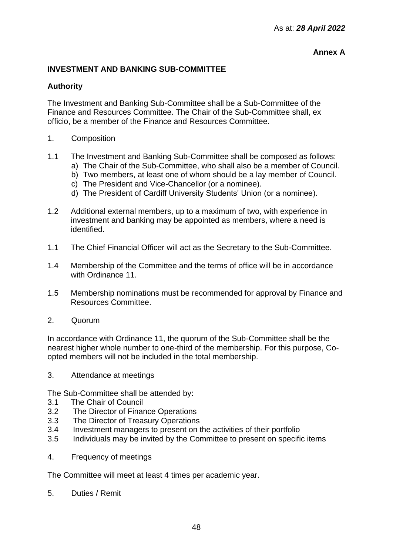## **Annex A**

## **INVESTMENT AND BANKING SUB-COMMITTEE**

## **Authority**

The Investment and Banking Sub-Committee shall be a Sub-Committee of the Finance and Resources Committee. The Chair of the Sub-Committee shall, ex officio, be a member of the Finance and Resources Committee.

- 1. Composition
- 1.1 The Investment and Banking Sub-Committee shall be composed as follows:
	- a) The Chair of the Sub-Committee, who shall also be a member of Council.
	- b) Two members, at least one of whom should be a lay member of Council.
	- c) The President and Vice-Chancellor (or a nominee).
	- d) The President of Cardiff University Students' Union (or a nominee).
- 1.2 Additional external members, up to a maximum of two, with experience in investment and banking may be appointed as members, where a need is identified.
- 1.1 The Chief Financial Officer will act as the Secretary to the Sub-Committee.
- 1.4 Membership of the Committee and the terms of office will be in accordance with Ordinance 11.
- 1.5 Membership nominations must be recommended for approval by Finance and Resources Committee.
- 2. Quorum

In accordance with Ordinance 11, the quorum of the Sub-Committee shall be the nearest higher whole number to one-third of the membership. For this purpose, Coopted members will not be included in the total membership.

3. Attendance at meetings

The Sub-Committee shall be attended by:

- 3.1 The Chair of Council
- 3.2 The Director of Finance Operations
- 3.3 The Director of Treasury Operations
- 3.4 Investment managers to present on the activities of their portfolio
- 3.5 Individuals may be invited by the Committee to present on specific items
- 4. Frequency of meetings

The Committee will meet at least 4 times per academic year.

5. Duties / Remit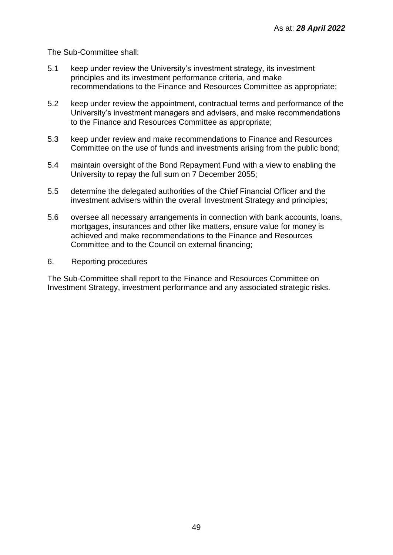The Sub-Committee shall:

- 5.1 keep under review the University's investment strategy, its investment principles and its investment performance criteria, and make recommendations to the Finance and Resources Committee as appropriate;
- 5.2 keep under review the appointment, contractual terms and performance of the University's investment managers and advisers, and make recommendations to the Finance and Resources Committee as appropriate;
- 5.3 keep under review and make recommendations to Finance and Resources Committee on the use of funds and investments arising from the public bond;
- 5.4 maintain oversight of the Bond Repayment Fund with a view to enabling the University to repay the full sum on 7 December 2055;
- 5.5 determine the delegated authorities of the Chief Financial Officer and the investment advisers within the overall Investment Strategy and principles;
- 5.6 oversee all necessary arrangements in connection with bank accounts, loans, mortgages, insurances and other like matters, ensure value for money is achieved and make recommendations to the Finance and Resources Committee and to the Council on external financing;
- 6. Reporting procedures

The Sub-Committee shall report to the Finance and Resources Committee on Investment Strategy, investment performance and any associated strategic risks.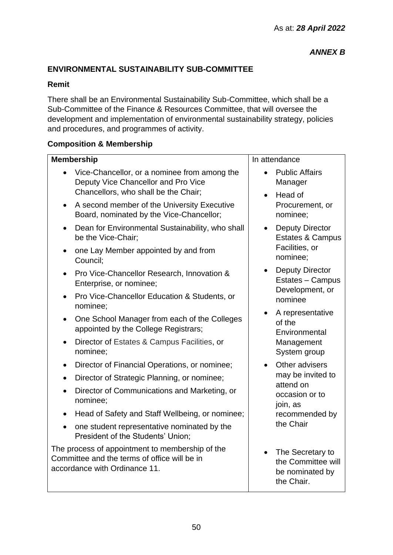# **ENVIRONMENTAL SUSTAINABILITY SUB-COMMITTEE**

## **Remit**

There shall be an Environmental Sustainability Sub-Committee, which shall be a Sub-Committee of the Finance & Resources Committee, that will oversee the development and implementation of environmental sustainability strategy, policies and procedures, and programmes of activity.

## **Composition & Membership**

|           | <b>Membership</b>                                                                                                                |                                | In attendance                                                             |  |
|-----------|----------------------------------------------------------------------------------------------------------------------------------|--------------------------------|---------------------------------------------------------------------------|--|
| $\bullet$ | Vice-Chancellor, or a nominee from among the<br>Deputy Vice Chancellor and Pro Vice                                              |                                | <b>Public Affairs</b><br>Manager                                          |  |
|           | Chancellors, who shall be the Chair;                                                                                             | $\bullet$                      | Head of                                                                   |  |
| $\bullet$ | A second member of the University Executive<br>Board, nominated by the Vice-Chancellor;                                          |                                | Procurement, or<br>nominee;                                               |  |
| $\bullet$ | Dean for Environmental Sustainability, who shall<br>be the Vice-Chair;                                                           | $\bullet$                      | <b>Deputy Director</b><br><b>Estates &amp; Campus</b>                     |  |
| $\bullet$ | one Lay Member appointed by and from<br>Council:                                                                                 |                                | Facilities, or<br>nominee;                                                |  |
|           | Pro Vice-Chancellor Research, Innovation &<br>Enterprise, or nominee;                                                            | $\bullet$                      | <b>Deputy Director</b><br>Estates - Campus                                |  |
|           | Pro Vice-Chancellor Education & Students, or<br>nominee;                                                                         |                                | Development, or<br>nominee                                                |  |
| $\bullet$ | One School Manager from each of the Colleges<br>appointed by the College Registrars;                                             |                                | A representative<br>of the<br>Environmental<br>Management<br>System group |  |
| $\bullet$ | Director of Estates & Campus Facilities, or<br>nominee:                                                                          |                                |                                                                           |  |
| $\bullet$ | Director of Financial Operations, or nominee;                                                                                    |                                | Other advisers                                                            |  |
| $\bullet$ | Director of Strategic Planning, or nominee;                                                                                      | may be invited to<br>attend on |                                                                           |  |
| $\bullet$ | Director of Communications and Marketing, or<br>nominee;                                                                         | occasion or to<br>join, as     |                                                                           |  |
| $\bullet$ | Head of Safety and Staff Wellbeing, or nominee;                                                                                  | recommended by                 |                                                                           |  |
| $\bullet$ | one student representative nominated by the<br>President of the Students' Union;                                                 |                                | the Chair                                                                 |  |
|           | The process of appointment to membership of the<br>Committee and the terms of office will be in<br>accordance with Ordinance 11. | $\bullet$                      | The Secretary to<br>the Committee will<br>be nominated by<br>the Chair.   |  |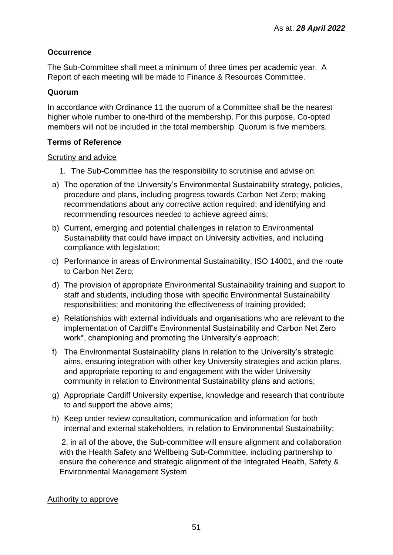## **Occurrence**

The Sub-Committee shall meet a minimum of three times per academic year. A Report of each meeting will be made to Finance & Resources Committee.

## **Quorum**

In accordance with Ordinance 11 the quorum of a Committee shall be the nearest higher whole number to one-third of the membership. For this purpose, Co-opted members will not be included in the total membership. Quorum is five members.

## **Terms of Reference**

## Scrutiny and advice

- 1. The Sub-Committee has the responsibility to scrutinise and advise on:
- a) The operation of the University's Environmental Sustainability strategy, policies, procedure and plans, including progress towards Carbon Net Zero; making recommendations about any corrective action required; and identifying and recommending resources needed to achieve agreed aims;
- b) Current, emerging and potential challenges in relation to Environmental Sustainability that could have impact on University activities, and including compliance with legislation;
- c) Performance in areas of Environmental Sustainability, ISO 14001, and the route to Carbon Net Zero;
- d) The provision of appropriate Environmental Sustainability training and support to staff and students, including those with specific Environmental Sustainability responsibilities; and monitoring the effectiveness of training provided;
- e) Relationships with external individuals and organisations who are relevant to the implementation of Cardiff's Environmental Sustainability and Carbon Net Zero work\*, championing and promoting the University's approach;
- f) The Environmental Sustainability plans in relation to the University's strategic aims, ensuring integration with other key University strategies and action plans, and appropriate reporting to and engagement with the wider University community in relation to Environmental Sustainability plans and actions;
- g) Appropriate Cardiff University expertise, knowledge and research that contribute to and support the above aims;
- h) Keep under review consultation, communication and information for both internal and external stakeholders, in relation to Environmental Sustainability;

2. in all of the above, the Sub-committee will ensure alignment and collaboration with the Health Safety and Wellbeing Sub-Committee, including partnership to ensure the coherence and strategic alignment of the Integrated Health, Safety & Environmental Management System.

## Authority to approve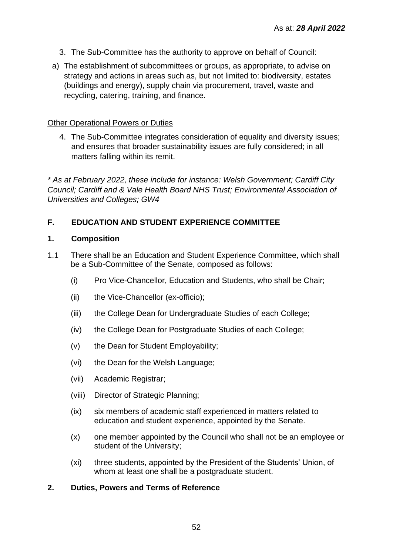- 3. The Sub-Committee has the authority to approve on behalf of Council:
- a) The establishment of subcommittees or groups, as appropriate, to advise on strategy and actions in areas such as, but not limited to: biodiversity, estates (buildings and energy), supply chain via procurement, travel, waste and recycling, catering, training, and finance.

## Other Operational Powers or Duties

4. The Sub-Committee integrates consideration of equality and diversity issues; and ensures that broader sustainability issues are fully considered; in all matters falling within its remit.

*\* As at February 2022, these include for instance: Welsh Government; Cardiff City Council; Cardiff and & Vale Health Board NHS Trust; Environmental Association of Universities and Colleges; GW4*

## **F. EDUCATION AND STUDENT EXPERIENCE COMMITTEE**

## **1. Composition**

- 1.1 There shall be an Education and Student Experience Committee, which shall be a Sub-Committee of the Senate, composed as follows:
	- (i) Pro Vice-Chancellor, Education and Students, who shall be Chair;
	- (ii) the Vice-Chancellor (ex-officio);
	- (iii) the College Dean for Undergraduate Studies of each College;
	- (iv) the College Dean for Postgraduate Studies of each College;
	- (v) the Dean for Student Employability;
	- (vi) the Dean for the Welsh Language;
	- (vii) Academic Registrar;
	- (viii) Director of Strategic Planning;
	- (ix) six members of academic staff experienced in matters related to education and student experience, appointed by the Senate.
	- (x) one member appointed by the Council who shall not be an employee or student of the University;
	- (xi) three students, appointed by the President of the Students' Union, of whom at least one shall be a postgraduate student.

## **2. Duties, Powers and Terms of Reference**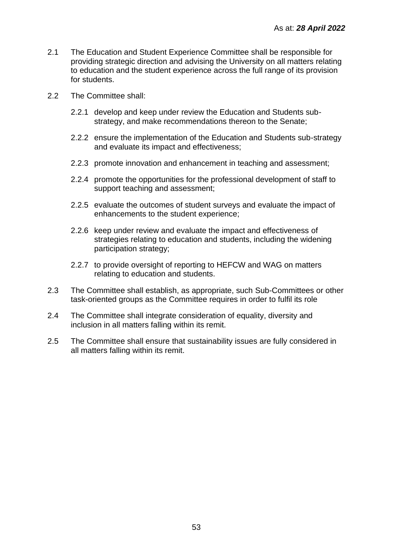- 2.1 The Education and Student Experience Committee shall be responsible for providing strategic direction and advising the University on all matters relating to education and the student experience across the full range of its provision for students.
- 2.2 The Committee shall:
	- 2.2.1 develop and keep under review the Education and Students substrategy, and make recommendations thereon to the Senate;
	- 2.2.2 ensure the implementation of the Education and Students sub-strategy and evaluate its impact and effectiveness;
	- 2.2.3 promote innovation and enhancement in teaching and assessment;
	- 2.2.4 promote the opportunities for the professional development of staff to support teaching and assessment;
	- 2.2.5 evaluate the outcomes of student surveys and evaluate the impact of enhancements to the student experience;
	- 2.2.6 keep under review and evaluate the impact and effectiveness of strategies relating to education and students, including the widening participation strategy;
	- 2.2.7 to provide oversight of reporting to HEFCW and WAG on matters relating to education and students.
- 2.3 The Committee shall establish, as appropriate, such Sub-Committees or other task-oriented groups as the Committee requires in order to fulfil its role
- 2.4 The Committee shall integrate consideration of equality, diversity and inclusion in all matters falling within its remit.
- 2.5 The Committee shall ensure that sustainability issues are fully considered in all matters falling within its remit.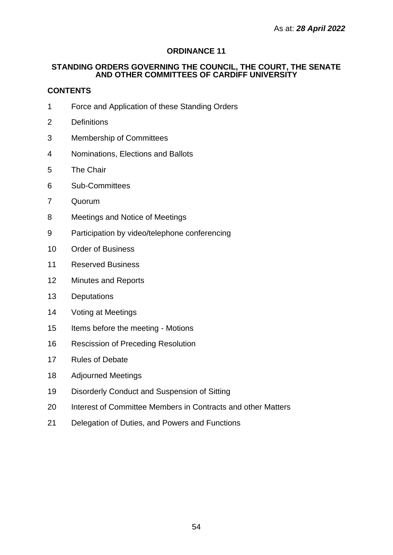## **ORDINANCE 11**

### **STANDING ORDERS GOVERNING THE COUNCIL, THE COURT, THE SENATE AND OTHER COMMITTEES OF CARDIFF UNIVERSITY**

## **CONTENTS**

- Force and Application of these Standing Orders
- Definitions
- Membership of Committees
- Nominations, Elections and Ballots
- The Chair
- Sub-Committees
- Quorum
- Meetings and Notice of Meetings
- Participation by video/telephone conferencing
- Order of Business
- Reserved Business
- Minutes and Reports
- Deputations
- Voting at Meetings
- Items before the meeting Motions
- Rescission of Preceding Resolution
- Rules of Debate
- Adjourned Meetings
- Disorderly Conduct and Suspension of Sitting
- Interest of Committee Members in Contracts and other Matters
- Delegation of Duties, and Powers and Functions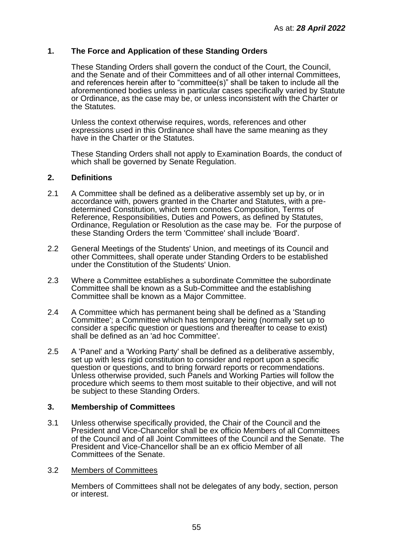## **1. The Force and Application of these Standing Orders**

These Standing Orders shall govern the conduct of the Court, the Council, and the Senate and of their Committees and of all other internal Committees, and references herein after to "committee(s)" shall be taken to include all the aforementioned bodies unless in particular cases specifically varied by Statute or Ordinance, as the case may be, or unless inconsistent with the Charter or the Statutes.

Unless the context otherwise requires, words, references and other expressions used in this Ordinance shall have the same meaning as they have in the Charter or the Statutes.

These Standing Orders shall not apply to Examination Boards, the conduct of which shall be governed by Senate Regulation.

#### **2. Definitions**

- 2.1 A Committee shall be defined as a deliberative assembly set up by, or in accordance with, powers granted in the Charter and Statutes, with a predetermined Constitution, which term connotes Composition, Terms of Reference, Responsibilities, Duties and Powers, as defined by Statutes, Ordinance, Regulation or Resolution as the case may be. For the purpose of these Standing Orders the term 'Committee' shall include 'Board'.
- 2.2 General Meetings of the Students' Union, and meetings of its Council and other Committees, shall operate under Standing Orders to be established under the Constitution of the Students' Union.
- 2.3 Where a Committee establishes a subordinate Committee the subordinate Committee shall be known as a Sub-Committee and the establishing Committee shall be known as a Major Committee.
- 2.4 A Committee which has permanent being shall be defined as a 'Standing Committee'; a Committee which has temporary being (normally set up to consider a specific question or questions and thereafter to cease to exist) shall be defined as an 'ad hoc Committee'.
- 2.5 A 'Panel' and a 'Working Party' shall be defined as a deliberative assembly, set up with less rigid constitution to consider and report upon a specific question or questions, and to bring forward reports or recommendations. Unless otherwise provided, such Panels and Working Parties will follow the procedure which seems to them most suitable to their objective, and will not be subject to these Standing Orders.

## **3. Membership of Committees**

3.1 Unless otherwise specifically provided, the Chair of the Council and the President and Vice-Chancellor shall be ex officio Members of all Committees of the Council and of all Joint Committees of the Council and the Senate. The President and Vice-Chancellor shall be an ex officio Member of all Committees of the Senate.

#### 3.2 Members of Committees

Members of Committees shall not be delegates of any body, section, person or interest.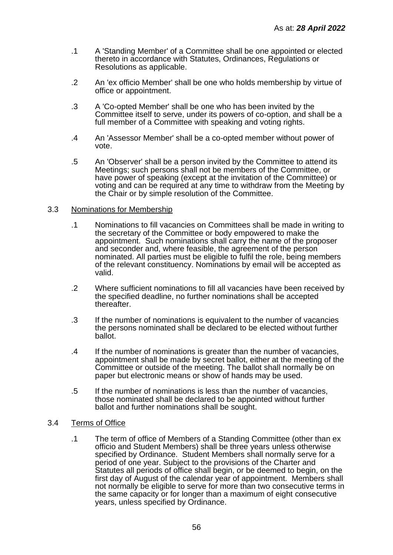- .1 A 'Standing Member' of a Committee shall be one appointed or elected thereto in accordance with Statutes, Ordinances, Regulations or Resolutions as applicable.
- .2 An 'ex officio Member' shall be one who holds membership by virtue of office or appointment.
- .3 A 'Co-opted Member' shall be one who has been invited by the Committee itself to serve, under its powers of co-option, and shall be a full member of a Committee with speaking and voting rights.
- .4 An 'Assessor Member' shall be a co-opted member without power of vote.
- .5 An 'Observer' shall be a person invited by the Committee to attend its Meetings; such persons shall not be members of the Committee, or have power of speaking (except at the invitation of the Committee) or voting and can be required at any time to withdraw from the Meeting by the Chair or by simple resolution of the Committee.

#### 3.3 Nominations for Membership

- .1 Nominations to fill vacancies on Committees shall be made in writing to the secretary of the Committee or body empowered to make the appointment. Such nominations shall carry the name of the proposer and seconder and, where feasible, the agreement of the person nominated. All parties must be eligible to fulfil the role, being members of the relevant constituency. Nominations by email will be accepted as valid.
- .2 Where sufficient nominations to fill all vacancies have been received by the specified deadline, no further nominations shall be accepted thereafter.
- .3 If the number of nominations is equivalent to the number of vacancies the persons nominated shall be declared to be elected without further ballot.
- .4 If the number of nominations is greater than the number of vacancies, appointment shall be made by secret ballot, either at the meeting of the Committee or outside of the meeting. The ballot shall normally be on paper but electronic means or show of hands may be used.
- .5 If the number of nominations is less than the number of vacancies, those nominated shall be declared to be appointed without further ballot and further nominations shall be sought.

#### 3.4 Terms of Office

.1 The term of office of Members of a Standing Committee (other than ex officio and Student Members) shall be three years unless otherwise specified by Ordinance. Student Members shall normally serve for a period of one year. Subject to the provisions of the Charter and Statutes all periods of office shall begin, or be deemed to begin, on the first day of August of the calendar year of appointment. Members shall not normally be eligible to serve for more than two consecutive terms in the same capacity or for longer than a maximum of eight consecutive years, unless specified by Ordinance.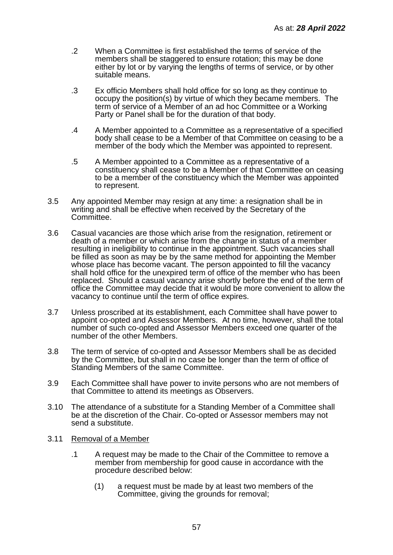- .2 When a Committee is first established the terms of service of the members shall be staggered to ensure rotation; this may be done either by lot or by varying the lengths of terms of service, or by other suitable means.
- .3 Ex officio Members shall hold office for so long as they continue to occupy the position(s) by virtue of which they became members. The term of service of a Member of an ad hoc Committee or a Working Party or Panel shall be for the duration of that body.
- .4 A Member appointed to a Committee as a representative of a specified body shall cease to be a Member of that Committee on ceasing to be a member of the body which the Member was appointed to represent.
- .5 A Member appointed to a Committee as a representative of a constituency shall cease to be a Member of that Committee on ceasing to be a member of the constituency which the Member was appointed to represent.
- 3.5 Any appointed Member may resign at any time: a resignation shall be in writing and shall be effective when received by the Secretary of the Committee.
- 3.6 Casual vacancies are those which arise from the resignation, retirement or death of a member or which arise from the change in status of a member resulting in ineligibility to continue in the appointment. Such vacancies shall be filled as soon as may be by the same method for appointing the Member whose place has become vacant. The person appointed to fill the vacancy shall hold office for the unexpired term of office of the member who has been replaced. Should a casual vacancy arise shortly before the end of the term of office the Committee may decide that it would be more convenient to allow the vacancy to continue until the term of office expires.
- 3.7 Unless proscribed at its establishment, each Committee shall have power to appoint co-opted and Assessor Members. At no time, however, shall the total number of such co-opted and Assessor Members exceed one quarter of the number of the other Members.
- 3.8 The term of service of co-opted and Assessor Members shall be as decided by the Committee, but shall in no case be longer than the term of office of Standing Members of the same Committee.
- 3.9 Each Committee shall have power to invite persons who are not members of that Committee to attend its meetings as Observers.
- 3.10 The attendance of a substitute for a Standing Member of a Committee shall be at the discretion of the Chair. Co-opted or Assessor members may not send a substitute.
- 3.11 Removal of a Member
	- .1 A request may be made to the Chair of the Committee to remove a member from membership for good cause in accordance with the procedure described below:
		- (1) a request must be made by at least two members of the Committee, giving the grounds for removal: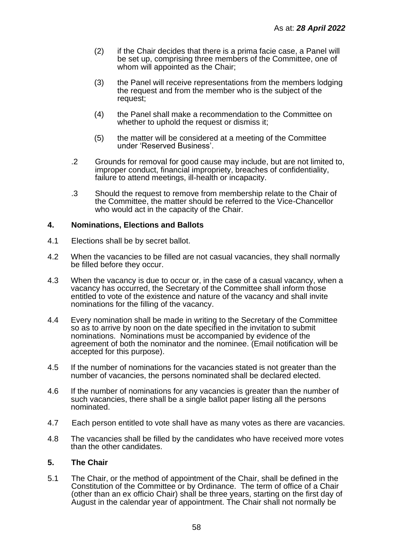- (2) if the Chair decides that there is a prima facie case, a Panel will be set up, comprising three members of the Committee, one of whom will appointed as the Chair;
- (3) the Panel will receive representations from the members lodging the request and from the member who is the subject of the request;
- (4) the Panel shall make a recommendation to the Committee on whether to uphold the request or dismiss it;
- (5) the matter will be considered at a meeting of the Committee under 'Reserved Business'.
- .2 Grounds for removal for good cause may include, but are not limited to, improper conduct, financial impropriety, breaches of confidentiality, failure to attend meetings, ill-health or incapacity.
- .3 Should the request to remove from membership relate to the Chair of the Committee, the matter should be referred to the Vice-Chancellor who would act in the capacity of the Chair.

### **4. Nominations, Elections and Ballots**

- 4.1 Elections shall be by secret ballot.
- 4.2 When the vacancies to be filled are not casual vacancies, they shall normally be filled before they occur.
- 4.3 When the vacancy is due to occur or, in the case of a casual vacancy, when a vacancy has occurred, the Secretary of the Committee shall inform those entitled to vote of the existence and nature of the vacancy and shall invite nominations for the filling of the vacancy.
- 4.4 Every nomination shall be made in writing to the Secretary of the Committee so as to arrive by noon on the date specified in the invitation to submit nominations. Nominations must be accompanied by evidence of the agreement of both the nominator and the nominee. (Email notification will be accepted for this purpose).
- 4.5 If the number of nominations for the vacancies stated is not greater than the number of vacancies, the persons nominated shall be declared elected.
- 4.6 If the number of nominations for any vacancies is greater than the number of such vacancies, there shall be a single ballot paper listing all the persons nominated.
- 4.7 Each person entitled to vote shall have as many votes as there are vacancies.
- 4.8 The vacancies shall be filled by the candidates who have received more votes than the other candidates.

#### **5. The Chair**

5.1 The Chair, or the method of appointment of the Chair, shall be defined in the Constitution of the Committee or by Ordinance. The term of office of a Chair (other than an ex officio Chair) shall be three years, starting on the first day of August in the calendar year of appointment. The Chair shall not normally be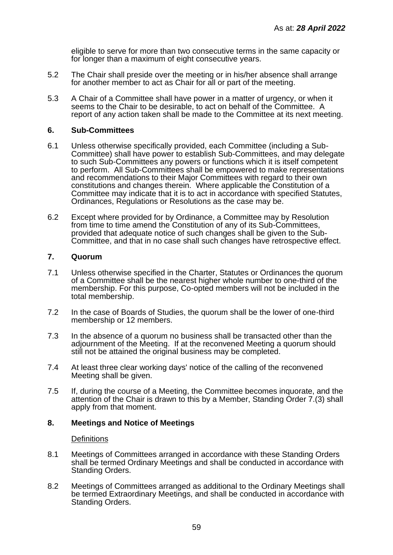eligible to serve for more than two consecutive terms in the same capacity or for longer than a maximum of eight consecutive years.

- 5.2 The Chair shall preside over the meeting or in his/her absence shall arrange for another member to act as Chair for all or part of the meeting.
- 5.3 A Chair of a Committee shall have power in a matter of urgency, or when it seems to the Chair to be desirable, to act on behalf of the Committee. A report of any action taken shall be made to the Committee at its next meeting.

#### **6. Sub-Committees**

- 6.1 Unless otherwise specifically provided, each Committee (including a Sub-Committee) shall have power to establish Sub-Committees, and may delegate to such Sub-Committees any powers or functions which it is itself competent to perform. All Sub-Committees shall be empowered to make representations and recommendations to their Major Committees with regard to their own constitutions and changes therein. Where applicable the Constitution of a Committee may indicate that it is to act in accordance with specified Statutes, Ordinances, Regulations or Resolutions as the case may be.
- 6.2 Except where provided for by Ordinance, a Committee may by Resolution from time to time amend the Constitution of any of its Sub-Committees, provided that adequate notice of such changes shall be given to the Sub-Committee, and that in no case shall such changes have retrospective effect.

#### **7. Quorum**

- 7.1 Unless otherwise specified in the Charter, Statutes or Ordinances the quorum of a Committee shall be the nearest higher whole number to one-third of the membership. For this purpose, Co-opted members will not be included in the total membership.
- 7.2 In the case of Boards of Studies, the quorum shall be the lower of one-third membership or 12 members.
- 7.3 In the absence of a quorum no business shall be transacted other than the adjournment of the Meeting. If at the reconvened Meeting a quorum should still not be attained the original business may be completed.
- 7.4 At least three clear working days' notice of the calling of the reconvened Meeting shall be given.
- 7.5 If, during the course of a Meeting, the Committee becomes inquorate, and the attention of the Chair is drawn to this by a Member, Standing Order 7.(3) shall apply from that moment.

#### **8. Meetings and Notice of Meetings**

#### **Definitions**

- 8.1 Meetings of Committees arranged in accordance with these Standing Orders shall be termed Ordinary Meetings and shall be conducted in accordance with Standing Orders.
- 8.2 Meetings of Committees arranged as additional to the Ordinary Meetings shall be termed Extraordinary Meetings, and shall be conducted in accordance with Standing Orders.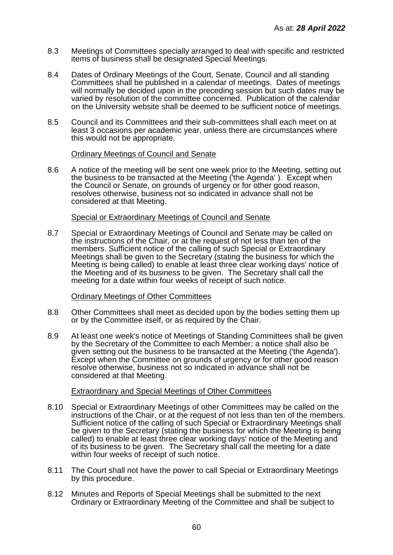- 8.3 Meetings of Committees specially arranged to deal with specific and restricted items of business shall be designated Special Meetings.
- 8.4 Dates of Ordinary Meetings of the Court, Senate, Council and all standing Committees shall be published in a calendar of meetings. Dates of meetings will normally be decided upon in the preceding session but such dates may be varied by resolution of the committee concerned. Publication of the calendar on the University website shall be deemed to be sufficient notice of meetings.
- 8.5 Council and its Committees and their sub-committees shall each meet on at least 3 occasions per academic year, unless there are circumstances where this would not be appropriate.

#### Ordinary Meetings of Council and Senate

8.6 A notice of the meeting will be sent one week prior to the Meeting, setting out the business to be transacted at the Meeting ('the Agenda' ). Except when the Council or Senate, on grounds of urgency or for other good reason, resolves otherwise, business not so indicated in advance shall not be considered at that Meeting.

### Special or Extraordinary Meetings of Council and Senate

8.7 Special or Extraordinary Meetings of Council and Senate may be called on the instructions of the Chair, or at the request of not less than ten of the members. Sufficient notice of the calling of such Special or Extraordinary Meetings shall be given to the Secretary (stating the business for which the Meeting is being called) to enable at least three clear working days' notice of the Meeting and of its business to be given. The Secretary shall call the meeting for a date within four weeks of receipt of such notice.

## Ordinary Meetings of Other Committees

- 8.8 Other Committees shall meet as decided upon by the bodies setting them up or by the Committee itself, or as required by the Chair.
- 8.9 At least one week's notice of Meetings of Standing Committees shall be given by the Secretary of the Committee to each Member; a notice shall also be given setting out the business to be transacted at the Meeting ('the Agenda'). Except when the Committee on grounds of urgency or for other good reason resolve otherwise, business not so indicated in advance shall not be considered at that Meeting.

## Extraordinary and Special Meetings of Other Committees

- 8.10 Special or Extraordinary Meetings of other Committees may be called on the instructions of the Chair, or at the request of not less than ten of the members. Sufficient notice of the calling of such Special or Extraordinary Meetings shall be given to the Secretary (stating the business for which the Meeting is being called) to enable at least three clear working days' notice of the Meeting and of its business to be given. The Secretary shall call the meeting for a date within four weeks of receipt of such notice.
- 8.11 The Court shall not have the power to call Special or Extraordinary Meetings by this procedure.
- 8.12 Minutes and Reports of Special Meetings shall be submitted to the next Ordinary or Extraordinary Meeting of the Committee and shall be subject to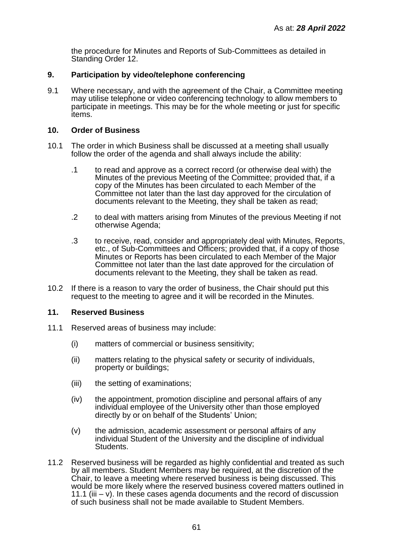the procedure for Minutes and Reports of Sub-Committees as detailed in Standing Order 12.

### **9. Participation by video/telephone conferencing**

9.1 Where necessary, and with the agreement of the Chair, a Committee meeting may utilise telephone or video conferencing technology to allow members to participate in meetings. This may be for the whole meeting or just for specific items.

### **10. Order of Business**

- 10.1 The order in which Business shall be discussed at a meeting shall usually follow the order of the agenda and shall always include the ability:
	- .1 to read and approve as a correct record (or otherwise deal with) the Minutes of the previous Meeting of the Committee; provided that, if a copy of the Minutes has been circulated to each Member of the Committee not later than the last day approved for the circulation of documents relevant to the Meeting, they shall be taken as read;
	- .2 to deal with matters arising from Minutes of the previous Meeting if not otherwise Agenda;
	- .3 to receive, read, consider and appropriately deal with Minutes, Reports, etc., of Sub-Committees and Officers; provided that, if a copy of those Minutes or Reports has been circulated to each Member of the Major Committee not later than the last date approved for the circulation of documents relevant to the Meeting, they shall be taken as read.
- 10.2 If there is a reason to vary the order of business, the Chair should put this request to the meeting to agree and it will be recorded in the Minutes.

#### **11. Reserved Business**

- 11.1 Reserved areas of business may include:
	- (i) matters of commercial or business sensitivity;
	- (ii) matters relating to the physical safety or security of individuals, property or buildings;
	- (iii) the setting of examinations;
	- (iv) the appointment, promotion discipline and personal affairs of any individual employee of the University other than those employed directly by or on behalf of the Students' Union:
	- (v) the admission, academic assessment or personal affairs of any individual Student of the University and the discipline of individual Students.
- 11.2 Reserved business will be regarded as highly confidential and treated as such by all members. Student Members may be required, at the discretion of the Chair, to leave a meeting where reserved business is being discussed. This would be more likely where the reserved business covered matters outlined in 11.1 (iii  $-$  v). In these cases agenda documents and the record of discussion of such business shall not be made available to Student Members.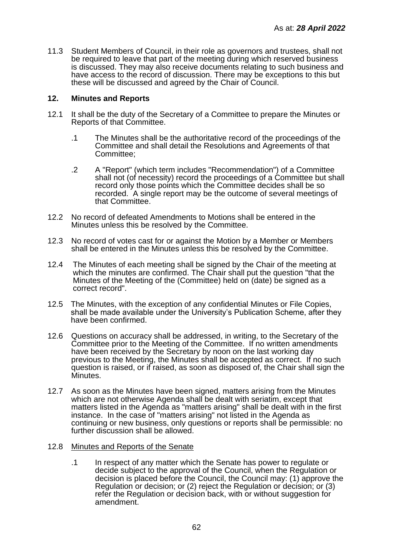11.3 Student Members of Council, in their role as governors and trustees, shall not be required to leave that part of the meeting during which reserved business is discussed. They may also receive documents relating to such business and have access to the record of discussion. There may be exceptions to this but these will be discussed and agreed by the Chair of Council.

### **12. Minutes and Reports**

- 12.1 It shall be the duty of the Secretary of a Committee to prepare the Minutes or Reports of that Committee.
	- .1 The Minutes shall be the authoritative record of the proceedings of the Committee and shall detail the Resolutions and Agreements of that Committee;
	- .2 A "Report" (which term includes "Recommendation") of a Committee shall not (of necessity) record the proceedings of a Committee but shall record only those points which the Committee decides shall be so recorded. A single report may be the outcome of several meetings of that Committee.
- 12.2 No record of defeated Amendments to Motions shall be entered in the Minutes unless this be resolved by the Committee.
- 12.3 No record of votes cast for or against the Motion by a Member or Members shall be entered in the Minutes unless this be resolved by the Committee.
- 12.4 The Minutes of each meeting shall be signed by the Chair of the meeting at which the minutes are confirmed. The Chair shall put the question "that the Minutes of the Meeting of the (Committee) held on (date) be signed as a correct record".
- 12.5 The Minutes, with the exception of any confidential Minutes or File Copies, shall be made available under the University's Publication Scheme, after they have been confirmed.
- 12.6 Questions on accuracy shall be addressed, in writing, to the Secretary of the Committee prior to the Meeting of the Committee. If no written amendments have been received by the Secretary by noon on the last working day previous to the Meeting, the Minutes shall be accepted as correct. If no such question is raised, or if raised, as soon as disposed of, the Chair shall sign the Minutes.
- 12.7 As soon as the Minutes have been signed, matters arising from the Minutes which are not otherwise Agenda shall be dealt with seriatim, except that matters listed in the Agenda as "matters arising" shall be dealt with in the first instance. In the case of "matters arising" not listed in the Agenda as continuing or new business, only questions or reports shall be permissible: no further discussion shall be allowed.
- 12.8 Minutes and Reports of the Senate
	- .1 In respect of any matter which the Senate has power to regulate or decide subject to the approval of the Council, when the Regulation or decision is placed before the Council, the Council may: (1) approve the Regulation or decision; or (2) reject the Regulation or decision; or (3) refer the Regulation or decision back, with or without suggestion for amendment.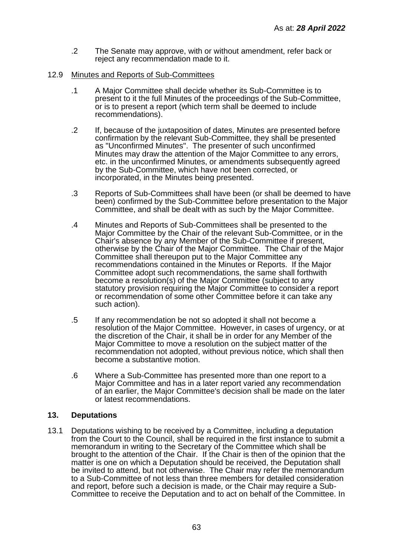.2 The Senate may approve, with or without amendment, refer back or reject any recommendation made to it.

### 12.9 Minutes and Reports of Sub-Committees

- .1 A Major Committee shall decide whether its Sub-Committee is to present to it the full Minutes of the proceedings of the Sub-Committee, or is to present a report (which term shall be deemed to include recommendations).
- .2 If, because of the juxtaposition of dates, Minutes are presented before confirmation by the relevant Sub-Committee, they shall be presented as "Unconfirmed Minutes". The presenter of such unconfirmed Minutes may draw the attention of the Major Committee to any errors, etc. in the unconfirmed Minutes, or amendments subsequently agreed by the Sub-Committee, which have not been corrected, or incorporated, in the Minutes being presented.
- .3 Reports of Sub-Committees shall have been (or shall be deemed to have been) confirmed by the Sub-Committee before presentation to the Major Committee, and shall be dealt with as such by the Major Committee.
- .4 Minutes and Reports of Sub-Committees shall be presented to the Major Committee by the Chair of the relevant Sub-Committee, or in the Chair's absence by any Member of the Sub-Committee if present, otherwise by the Chair of the Major Committee. The Chair of the Major Committee shall thereupon put to the Major Committee any recommendations contained in the Minutes or Reports. If the Major Committee adopt such recommendations, the same shall forthwith become a resolution(s) of the Major Committee (subject to any statutory provision requiring the Major Committee to consider a report or recommendation of some other Committee before it can take any such action).
- .5 If any recommendation be not so adopted it shall not become a resolution of the Major Committee. However, in cases of urgency, or at the discretion of the Chair, it shall be in order for any Member of the Major Committee to move a resolution on the subject matter of the recommendation not adopted, without previous notice, which shall then become a substantive motion.
- .6 Where a Sub-Committee has presented more than one report to a Major Committee and has in a later report varied any recommendation of an earlier, the Major Committee's decision shall be made on the later or latest recommendations.

## **13. Deputations**

13.1 Deputations wishing to be received by a Committee, including a deputation from the Court to the Council, shall be required in the first instance to submit a memorandum in writing to the Secretary of the Committee which shall be brought to the attention of the Chair. If the Chair is then of the opinion that the matter is one on which a Deputation should be received, the Deputation shall be invited to attend, but not otherwise. The Chair may refer the memorandum to a Sub-Committee of not less than three members for detailed consideration and report, before such a decision is made, or the Chair may require a Sub-Committee to receive the Deputation and to act on behalf of the Committee. In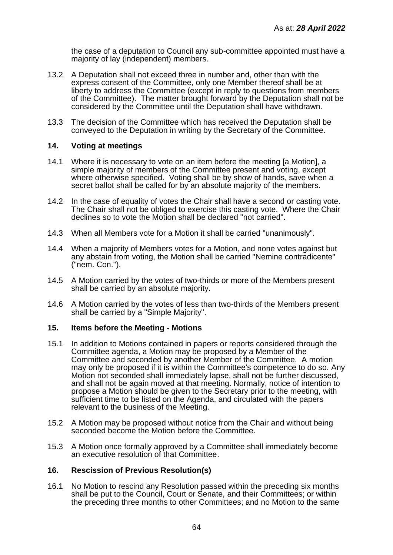the case of a deputation to Council any sub-committee appointed must have a majority of lay (independent) members.

- 13.2 A Deputation shall not exceed three in number and, other than with the express consent of the Committee, only one Member thereof shall be at liberty to address the Committee (except in reply to questions from members of the Committee). The matter brought forward by the Deputation shall not be considered by the Committee until the Deputation shall have withdrawn.
- 13.3 The decision of the Committee which has received the Deputation shall be conveyed to the Deputation in writing by the Secretary of the Committee.

### **14. Voting at meetings**

- 14.1 Where it is necessary to vote on an item before the meeting [a Motion], a simple majority of members of the Committee present and voting, except where otherwise specified. Voting shall be by show of hands, save when a secret ballot shall be called for by an absolute majority of the members.
- 14.2 In the case of equality of votes the Chair shall have a second or casting vote. The Chair shall not be obliged to exercise this casting vote. Where the Chair declines so to vote the Motion shall be declared "not carried".
- 14.3 When all Members vote for a Motion it shall be carried "unanimously".
- 14.4 When a majority of Members votes for a Motion, and none votes against but any abstain from voting, the Motion shall be carried "Nemine contradicente" ("nem. Con.").
- 14.5 A Motion carried by the votes of two-thirds or more of the Members present shall be carried by an absolute majority.
- 14.6 A Motion carried by the votes of less than two-thirds of the Members present shall be carried by a "Simple Majority".

#### **15. Items before the Meeting - Motions**

- 15.1 In addition to Motions contained in papers or reports considered through the Committee agenda, a Motion may be proposed by a Member of the Committee and seconded by another Member of the Committee. A motion may only be proposed if it is within the Committee's competence to do so. Any Motion not seconded shall immediately lapse, shall not be further discussed, and shall not be again moved at that meeting. Normally, notice of intention to propose a Motion should be given to the Secretary prior to the meeting, with sufficient time to be listed on the Agenda, and circulated with the papers relevant to the business of the Meeting.
- 15.2 A Motion may be proposed without notice from the Chair and without being seconded become the Motion before the Committee.
- 15.3 A Motion once formally approved by a Committee shall immediately become an executive resolution of that Committee.

## **16. Rescission of Previous Resolution(s)**

16.1 No Motion to rescind any Resolution passed within the preceding six months shall be put to the Council, Court or Senate, and their Committees; or within the preceding three months to other Committees; and no Motion to the same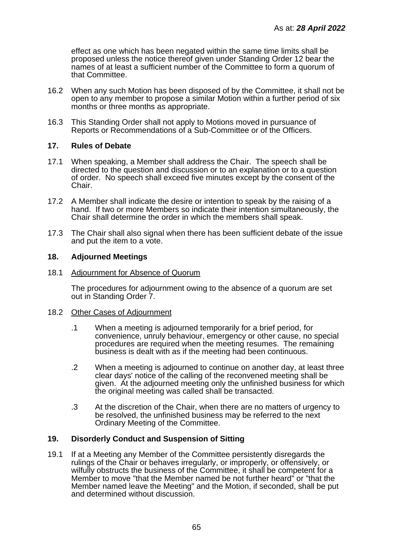effect as one which has been negated within the same time limits shall be proposed unless the notice thereof given under Standing Order 12 bear the names of at least a sufficient number of the Committee to form a quorum of that Committee.

- 16.2 When any such Motion has been disposed of by the Committee, it shall not be open to any member to propose a similar Motion within a further period of six months or three months as appropriate.
- 16.3 This Standing Order shall not apply to Motions moved in pursuance of Reports or Recommendations of a Sub-Committee or of the Officers.

## **17. Rules of Debate**

- 17.1 When speaking, a Member shall address the Chair. The speech shall be directed to the question and discussion or to an explanation or to a question of order. No speech shall exceed five minutes except by the consent of the Chair.
- 17.2 A Member shall indicate the desire or intention to speak by the raising of a hand. If two or more Members so indicate their intention simultaneously, the Chair shall determine the order in which the members shall speak.
- 17.3 The Chair shall also signal when there has been sufficient debate of the issue and put the item to a vote.

### **18. Adjourned Meetings**

#### 18.1 Adjournment for Absence of Quorum

The procedures for adjournment owing to the absence of a quorum are set out in Standing Order 7.

#### 18.2 Other Cases of Adjournment

- .1 When a meeting is adjourned temporarily for a brief period, for convenience, unruly behaviour, emergency or other cause, no special procedures are required when the meeting resumes. The remaining business is dealt with as if the meeting had been continuous.
- .2 When a meeting is adjourned to continue on another day, at least three clear days' notice of the calling of the reconvened meeting shall be given. At the adjourned meeting only the unfinished business for which the original meeting was called shall be transacted.
- .3 At the discretion of the Chair, when there are no matters of urgency to be resolved, the unfinished business may be referred to the next Ordinary Meeting of the Committee.

## **19. Disorderly Conduct and Suspension of Sitting**

19.1 If at a Meeting any Member of the Committee persistently disregards the rulings of the Chair or behaves irregularly, or improperly, or offensively, or wilfully obstructs the business of the Committee, it shall be competent for a Member to move "that the Member named be not further heard" or "that the Member named leave the Meeting" and the Motion, if seconded, shall be put and determined without discussion.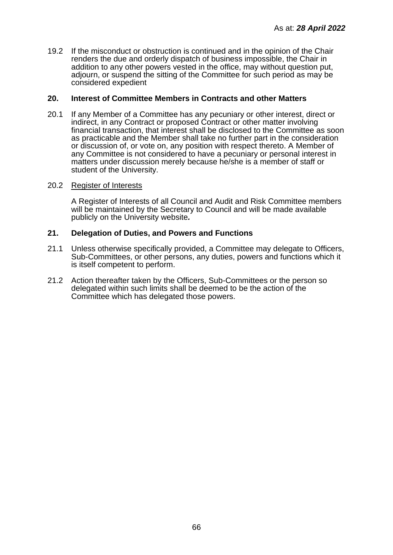19.2 If the misconduct or obstruction is continued and in the opinion of the Chair renders the due and orderly dispatch of business impossible, the Chair in addition to any other powers vested in the office, may without question put, adjourn, or suspend the sitting of the Committee for such period as may be considered expedient

### **20. Interest of Committee Members in Contracts and other Matters**

20.1 If any Member of a Committee has any pecuniary or other interest, direct or indirect, in any Contract or proposed Contract or other matter involving financial transaction, that interest shall be disclosed to the Committee as soon as practicable and the Member shall take no further part in the consideration or discussion of, or vote on, any position with respect thereto. A Member of any Committee is not considered to have a pecuniary or personal interest in matters under discussion merely because he/she is a member of staff or student of the University.

#### 20.2 Register of Interests

A Register of Interests of all Council and Audit and Risk Committee members will be maintained by the Secretary to Council and will be made available publicly on the University website*.*

### **21. Delegation of Duties, and Powers and Functions**

- 21.1 Unless otherwise specifically provided, a Committee may delegate to Officers, Sub-Committees, or other persons, any duties, powers and functions which it is itself competent to perform.
- 21.2 Action thereafter taken by the Officers, Sub-Committees or the person so delegated within such limits shall be deemed to be the action of the Committee which has delegated those powers.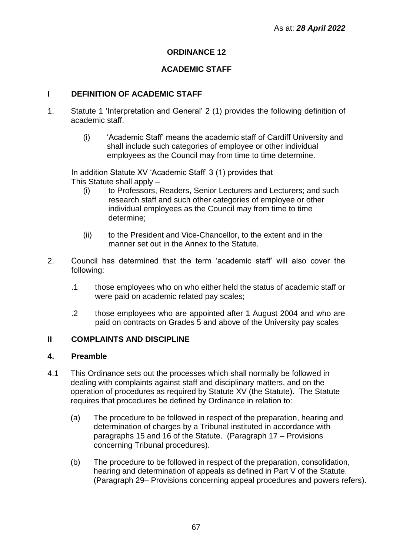## **ORDINANCE 12**

## **ACADEMIC STAFF**

## **I DEFINITION OF ACADEMIC STAFF**

- 1. Statute 1 'Interpretation and General' 2 (1) provides the following definition of academic staff.
	- (i) 'Academic Staff' means the academic staff of Cardiff University and shall include such categories of employee or other individual employees as the Council may from time to time determine.

In addition Statute XV 'Academic Staff' 3 (1) provides that This Statute shall apply –

- (i) to Professors, Readers, Senior Lecturers and Lecturers; and such research staff and such other categories of employee or other individual employees as the Council may from time to time determine;
- (ii) to the President and Vice-Chancellor, to the extent and in the manner set out in the Annex to the Statute.
- 2. Council has determined that the term 'academic staff' will also cover the following:
	- .1 those employees who on who either held the status of academic staff or were paid on academic related pay scales;
	- .2 those employees who are appointed after 1 August 2004 and who are paid on contracts on Grades 5 and above of the University pay scales

## **II COMPLAINTS AND DISCIPLINE**

## **4. Preamble**

- 4.1 This Ordinance sets out the processes which shall normally be followed in dealing with complaints against staff and disciplinary matters, and on the operation of procedures as required by Statute XV (the Statute). The Statute requires that procedures be defined by Ordinance in relation to:
	- (a) The procedure to be followed in respect of the preparation, hearing and determination of charges by a Tribunal instituted in accordance with paragraphs 15 and 16 of the Statute. (Paragraph 17 – Provisions concerning Tribunal procedures).
	- (b) The procedure to be followed in respect of the preparation, consolidation, hearing and determination of appeals as defined in Part V of the Statute. (Paragraph 29– Provisions concerning appeal procedures and powers refers).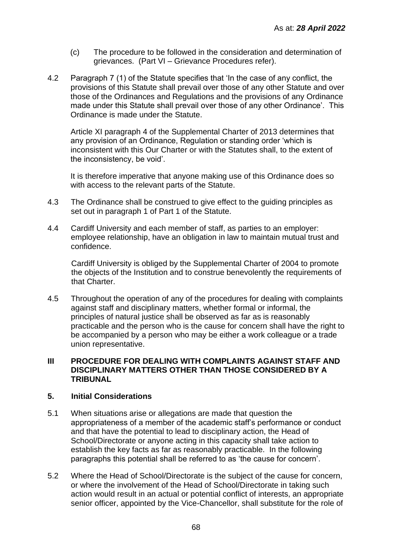- (c) The procedure to be followed in the consideration and determination of grievances. (Part VI – Grievance Procedures refer).
- 4.2 Paragraph 7 (1) of the Statute specifies that 'In the case of any conflict, the provisions of this Statute shall prevail over those of any other Statute and over those of the Ordinances and Regulations and the provisions of any Ordinance made under this Statute shall prevail over those of any other Ordinance'. This Ordinance is made under the Statute.

Article XI paragraph 4 of the Supplemental Charter of 2013 determines that any provision of an Ordinance, Regulation or standing order 'which is inconsistent with this Our Charter or with the Statutes shall, to the extent of the inconsistency, be void'.

It is therefore imperative that anyone making use of this Ordinance does so with access to the relevant parts of the Statute.

- 4.3 The Ordinance shall be construed to give effect to the guiding principles as set out in paragraph 1 of Part 1 of the Statute.
- 4.4 Cardiff University and each member of staff, as parties to an employer: employee relationship, have an obligation in law to maintain mutual trust and confidence.

Cardiff University is obliged by the Supplemental Charter of 2004 to promote the objects of the Institution and to construe benevolently the requirements of that Charter.

4.5 Throughout the operation of any of the procedures for dealing with complaints against staff and disciplinary matters, whether formal or informal, the principles of natural justice shall be observed as far as is reasonably practicable and the person who is the cause for concern shall have the right to be accompanied by a person who may be either a work colleague or a trade union representative.

## **III PROCEDURE FOR DEALING WITH COMPLAINTS AGAINST STAFF AND DISCIPLINARY MATTERS OTHER THAN THOSE CONSIDERED BY A TRIBUNAL**

## **5. Initial Considerations**

- 5.1 When situations arise or allegations are made that question the appropriateness of a member of the academic staff's performance or conduct and that have the potential to lead to disciplinary action, the Head of School/Directorate or anyone acting in this capacity shall take action to establish the key facts as far as reasonably practicable. In the following paragraphs this potential shall be referred to as 'the cause for concern'.
- 5.2 Where the Head of School/Directorate is the subject of the cause for concern, or where the involvement of the Head of School/Directorate in taking such action would result in an actual or potential conflict of interests, an appropriate senior officer, appointed by the Vice-Chancellor, shall substitute for the role of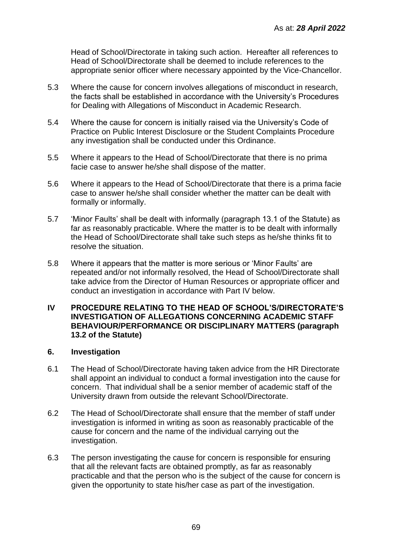Head of School/Directorate in taking such action. Hereafter all references to Head of School/Directorate shall be deemed to include references to the appropriate senior officer where necessary appointed by the Vice-Chancellor.

- 5.3 Where the cause for concern involves allegations of misconduct in research, the facts shall be established in accordance with the University's Procedures for Dealing with Allegations of Misconduct in Academic Research.
- 5.4 Where the cause for concern is initially raised via the University's Code of Practice on Public Interest Disclosure or the Student Complaints Procedure any investigation shall be conducted under this Ordinance.
- 5.5 Where it appears to the Head of School/Directorate that there is no prima facie case to answer he/she shall dispose of the matter.
- 5.6 Where it appears to the Head of School/Directorate that there is a prima facie case to answer he/she shall consider whether the matter can be dealt with formally or informally.
- 5.7 'Minor Faults' shall be dealt with informally (paragraph 13.1 of the Statute) as far as reasonably practicable. Where the matter is to be dealt with informally the Head of School/Directorate shall take such steps as he/she thinks fit to resolve the situation.
- 5.8 Where it appears that the matter is more serious or 'Minor Faults' are repeated and/or not informally resolved, the Head of School/Directorate shall take advice from the Director of Human Resources or appropriate officer and conduct an investigation in accordance with Part IV below.

## **IV PROCEDURE RELATING TO THE HEAD OF SCHOOL'S/DIRECTORATE'S INVESTIGATION OF ALLEGATIONS CONCERNING ACADEMIC STAFF BEHAVIOUR/PERFORMANCE OR DISCIPLINARY MATTERS (paragraph 13.2 of the Statute)**

## **6. Investigation**

- 6.1 The Head of School/Directorate having taken advice from the HR Directorate shall appoint an individual to conduct a formal investigation into the cause for concern. That individual shall be a senior member of academic staff of the University drawn from outside the relevant School/Directorate.
- 6.2 The Head of School/Directorate shall ensure that the member of staff under investigation is informed in writing as soon as reasonably practicable of the cause for concern and the name of the individual carrying out the investigation.
- 6.3 The person investigating the cause for concern is responsible for ensuring that all the relevant facts are obtained promptly, as far as reasonably practicable and that the person who is the subject of the cause for concern is given the opportunity to state his/her case as part of the investigation.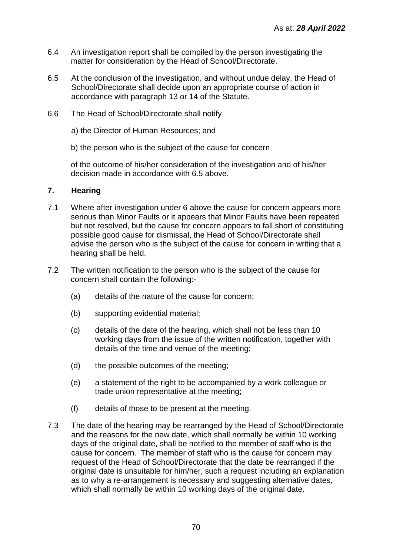- 6.4 An investigation report shall be compiled by the person investigating the matter for consideration by the Head of School/Directorate.
- 6.5 At the conclusion of the investigation, and without undue delay, the Head of School/Directorate shall decide upon an appropriate course of action in accordance with paragraph 13 or 14 of the Statute.
- 6.6 The Head of School/Directorate shall notify
	- a) the Director of Human Resources; and
	- b) the person who is the subject of the cause for concern

of the outcome of his/her consideration of the investigation and of his/her decision made in accordance with 6.5 above.

### **7. Hearing**

- 7.1 Where after investigation under 6 above the cause for concern appears more serious than Minor Faults or it appears that Minor Faults have been repeated but not resolved, but the cause for concern appears to fall short of constituting possible good cause for dismissal, the Head of School/Directorate shall advise the person who is the subject of the cause for concern in writing that a hearing shall be held.
- 7.2 The written notification to the person who is the subject of the cause for concern shall contain the following:-
	- (a) details of the nature of the cause for concern;
	- (b) supporting evidential material;
	- (c) details of the date of the hearing, which shall not be less than 10 working days from the issue of the written notification, together with details of the time and venue of the meeting;
	- (d) the possible outcomes of the meeting;
	- (e) a statement of the right to be accompanied by a work colleague or trade union representative at the meeting;
	- (f) details of those to be present at the meeting.
- 7.3 The date of the hearing may be rearranged by the Head of School/Directorate and the reasons for the new date, which shall normally be within 10 working days of the original date, shall be notified to the member of staff who is the cause for concern. The member of staff who is the cause for concern may request of the Head of School/Directorate that the date be rearranged if the original date is unsuitable for him/her, such a request including an explanation as to why a re-arrangement is necessary and suggesting alternative dates, which shall normally be within 10 working days of the original date.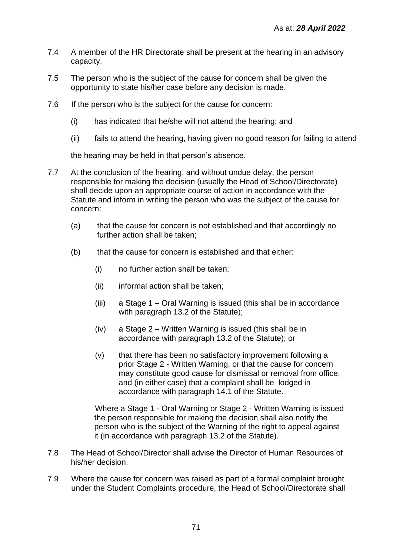- 7.4 A member of the HR Directorate shall be present at the hearing in an advisory capacity.
- 7.5 The person who is the subject of the cause for concern shall be given the opportunity to state his/her case before any decision is made.
- 7.6 If the person who is the subject for the cause for concern:
	- (i) has indicated that he/she will not attend the hearing; and
	- (ii) fails to attend the hearing, having given no good reason for failing to attend

the hearing may be held in that person's absence.

- 7.7 At the conclusion of the hearing, and without undue delay, the person responsible for making the decision (usually the Head of School/Directorate) shall decide upon an appropriate course of action in accordance with the Statute and inform in writing the person who was the subject of the cause for concern:
	- (a) that the cause for concern is not established and that accordingly no further action shall be taken;
	- (b) that the cause for concern is established and that either:
		- (i) no further action shall be taken;
		- (ii) informal action shall be taken;
		- (iii) a Stage 1 Oral Warning is issued (this shall be in accordance with paragraph 13.2 of the Statute);
		- (iv) a Stage 2 Written Warning is issued (this shall be in accordance with paragraph 13.2 of the Statute); or
		- (v) that there has been no satisfactory improvement following a prior Stage 2 - Written Warning, or that the cause for concern may constitute good cause for dismissal or removal from office, and (in either case) that a complaint shall be lodged in accordance with paragraph 14.1 of the Statute.

Where a Stage 1 - Oral Warning or Stage 2 - Written Warning is issued the person responsible for making the decision shall also notify the person who is the subject of the Warning of the right to appeal against it (in accordance with paragraph 13.2 of the Statute).

- 7.8 The Head of School/Director shall advise the Director of Human Resources of his/her decision.
- 7.9 Where the cause for concern was raised as part of a formal complaint brought under the Student Complaints procedure, the Head of School/Directorate shall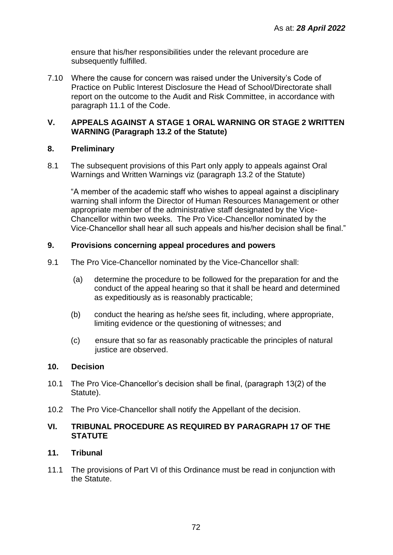ensure that his/her responsibilities under the relevant procedure are subsequently fulfilled.

7.10 Where the cause for concern was raised under the University's Code of Practice on Public Interest Disclosure the Head of School/Directorate shall report on the outcome to the Audit and Risk Committee, in accordance with paragraph 11.1 of the Code.

## **V. APPEALS AGAINST A STAGE 1 ORAL WARNING OR STAGE 2 WRITTEN WARNING (Paragraph 13.2 of the Statute)**

## **8. Preliminary**

8.1 The subsequent provisions of this Part only apply to appeals against Oral Warnings and Written Warnings viz (paragraph 13.2 of the Statute)

"A member of the academic staff who wishes to appeal against a disciplinary warning shall inform the Director of Human Resources Management or other appropriate member of the administrative staff designated by the Vice-Chancellor within two weeks. The Pro Vice-Chancellor nominated by the Vice-Chancellor shall hear all such appeals and his/her decision shall be final."

## **9. Provisions concerning appeal procedures and powers**

- 9.1 The Pro Vice-Chancellor nominated by the Vice-Chancellor shall:
	- (a) determine the procedure to be followed for the preparation for and the conduct of the appeal hearing so that it shall be heard and determined as expeditiously as is reasonably practicable;
	- (b) conduct the hearing as he/she sees fit, including, where appropriate, limiting evidence or the questioning of witnesses; and
	- (c) ensure that so far as reasonably practicable the principles of natural justice are observed.

## **10. Decision**

- 10.1 The Pro Vice-Chancellor's decision shall be final, (paragraph 13(2) of the Statute).
- 10.2 The Pro Vice-Chancellor shall notify the Appellant of the decision.

## **VI. TRIBUNAL PROCEDURE AS REQUIRED BY PARAGRAPH 17 OF THE STATUTE**

## **11. Tribunal**

11.1 The provisions of Part VI of this Ordinance must be read in conjunction with the Statute.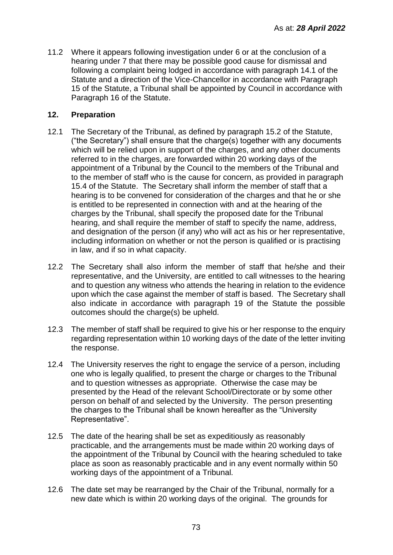11.2 Where it appears following investigation under 6 or at the conclusion of a hearing under 7 that there may be possible good cause for dismissal and following a complaint being lodged in accordance with paragraph 14.1 of the Statute and a direction of the Vice-Chancellor in accordance with Paragraph 15 of the Statute, a Tribunal shall be appointed by Council in accordance with Paragraph 16 of the Statute.

# **12. Preparation**

- 12.1 The Secretary of the Tribunal, as defined by paragraph 15.2 of the Statute, ("the Secretary") shall ensure that the charge(s) together with any documents which will be relied upon in support of the charges, and any other documents referred to in the charges, are forwarded within 20 working days of the appointment of a Tribunal by the Council to the members of the Tribunal and to the member of staff who is the cause for concern, as provided in paragraph 15.4 of the Statute. The Secretary shall inform the member of staff that a hearing is to be convened for consideration of the charges and that he or she is entitled to be represented in connection with and at the hearing of the charges by the Tribunal, shall specify the proposed date for the Tribunal hearing, and shall require the member of staff to specify the name, address, and designation of the person (if any) who will act as his or her representative, including information on whether or not the person is qualified or is practising in law, and if so in what capacity.
- 12.2 The Secretary shall also inform the member of staff that he/she and their representative, and the University, are entitled to call witnesses to the hearing and to question any witness who attends the hearing in relation to the evidence upon which the case against the member of staff is based. The Secretary shall also indicate in accordance with paragraph 19 of the Statute the possible outcomes should the charge(s) be upheld.
- 12.3 The member of staff shall be required to give his or her response to the enquiry regarding representation within 10 working days of the date of the letter inviting the response.
- 12.4 The University reserves the right to engage the service of a person, including one who is legally qualified, to present the charge or charges to the Tribunal and to question witnesses as appropriate. Otherwise the case may be presented by the Head of the relevant School/Directorate or by some other person on behalf of and selected by the University. The person presenting the charges to the Tribunal shall be known hereafter as the "University Representative".
- 12.5 The date of the hearing shall be set as expeditiously as reasonably practicable, and the arrangements must be made within 20 working days of the appointment of the Tribunal by Council with the hearing scheduled to take place as soon as reasonably practicable and in any event normally within 50 working days of the appointment of a Tribunal.
- 12.6 The date set may be rearranged by the Chair of the Tribunal, normally for a new date which is within 20 working days of the original. The grounds for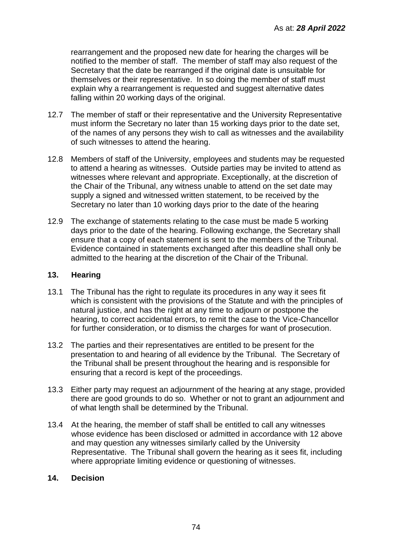rearrangement and the proposed new date for hearing the charges will be notified to the member of staff. The member of staff may also request of the Secretary that the date be rearranged if the original date is unsuitable for themselves or their representative. In so doing the member of staff must explain why a rearrangement is requested and suggest alternative dates falling within 20 working days of the original.

- 12.7 The member of staff or their representative and the University Representative must inform the Secretary no later than 15 working days prior to the date set, of the names of any persons they wish to call as witnesses and the availability of such witnesses to attend the hearing.
- 12.8 Members of staff of the University, employees and students may be requested to attend a hearing as witnesses. Outside parties may be invited to attend as witnesses where relevant and appropriate. Exceptionally, at the discretion of the Chair of the Tribunal, any witness unable to attend on the set date may supply a signed and witnessed written statement, to be received by the Secretary no later than 10 working days prior to the date of the hearing
- 12.9 The exchange of statements relating to the case must be made 5 working days prior to the date of the hearing. Following exchange, the Secretary shall ensure that a copy of each statement is sent to the members of the Tribunal. Evidence contained in statements exchanged after this deadline shall only be admitted to the hearing at the discretion of the Chair of the Tribunal.

## **13. Hearing**

- 13.1 The Tribunal has the right to regulate its procedures in any way it sees fit which is consistent with the provisions of the Statute and with the principles of natural justice, and has the right at any time to adjourn or postpone the hearing, to correct accidental errors, to remit the case to the Vice-Chancellor for further consideration, or to dismiss the charges for want of prosecution.
- 13.2 The parties and their representatives are entitled to be present for the presentation to and hearing of all evidence by the Tribunal. The Secretary of the Tribunal shall be present throughout the hearing and is responsible for ensuring that a record is kept of the proceedings.
- 13.3 Either party may request an adjournment of the hearing at any stage, provided there are good grounds to do so. Whether or not to grant an adjournment and of what length shall be determined by the Tribunal.
- 13.4 At the hearing, the member of staff shall be entitled to call any witnesses whose evidence has been disclosed or admitted in accordance with 12 above and may question any witnesses similarly called by the University Representative. The Tribunal shall govern the hearing as it sees fit, including where appropriate limiting evidence or questioning of witnesses.

### **14. Decision**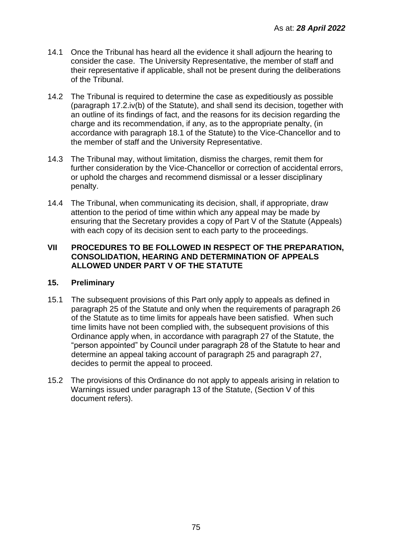- 14.1 Once the Tribunal has heard all the evidence it shall adjourn the hearing to consider the case. The University Representative, the member of staff and their representative if applicable, shall not be present during the deliberations of the Tribunal.
- 14.2 The Tribunal is required to determine the case as expeditiously as possible (paragraph 17.2.iv(b) of the Statute), and shall send its decision, together with an outline of its findings of fact, and the reasons for its decision regarding the charge and its recommendation, if any, as to the appropriate penalty, (in accordance with paragraph 18.1 of the Statute) to the Vice-Chancellor and to the member of staff and the University Representative.
- 14.3 The Tribunal may, without limitation, dismiss the charges, remit them for further consideration by the Vice-Chancellor or correction of accidental errors, or uphold the charges and recommend dismissal or a lesser disciplinary penalty.
- 14.4 The Tribunal, when communicating its decision, shall, if appropriate, draw attention to the period of time within which any appeal may be made by ensuring that the Secretary provides a copy of Part V of the Statute (Appeals) with each copy of its decision sent to each party to the proceedings.

### **VII PROCEDURES TO BE FOLLOWED IN RESPECT OF THE PREPARATION, CONSOLIDATION, HEARING AND DETERMINATION OF APPEALS ALLOWED UNDER PART V OF THE STATUTE**

### **15. Preliminary**

- 15.1 The subsequent provisions of this Part only apply to appeals as defined in paragraph 25 of the Statute and only when the requirements of paragraph 26 of the Statute as to time limits for appeals have been satisfied. When such time limits have not been complied with, the subsequent provisions of this Ordinance apply when, in accordance with paragraph 27 of the Statute, the "person appointed" by Council under paragraph 28 of the Statute to hear and determine an appeal taking account of paragraph 25 and paragraph 27, decides to permit the appeal to proceed.
- 15.2 The provisions of this Ordinance do not apply to appeals arising in relation to Warnings issued under paragraph 13 of the Statute, (Section V of this document refers).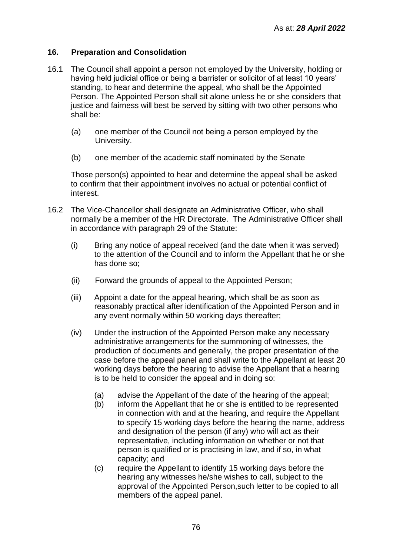## **16. Preparation and Consolidation**

- 16.1 The Council shall appoint a person not employed by the University, holding or having held judicial office or being a barrister or solicitor of at least 10 years' standing, to hear and determine the appeal, who shall be the Appointed Person. The Appointed Person shall sit alone unless he or she considers that justice and fairness will best be served by sitting with two other persons who shall be:
	- (a) one member of the Council not being a person employed by the University.
	- (b) one member of the academic staff nominated by the Senate

Those person(s) appointed to hear and determine the appeal shall be asked to confirm that their appointment involves no actual or potential conflict of interest.

- 16.2 The Vice-Chancellor shall designate an Administrative Officer, who shall normally be a member of the HR Directorate. The Administrative Officer shall in accordance with paragraph 29 of the Statute:
	- (i) Bring any notice of appeal received (and the date when it was served) to the attention of the Council and to inform the Appellant that he or she has done so;
	- (ii) Forward the grounds of appeal to the Appointed Person;
	- (iii) Appoint a date for the appeal hearing, which shall be as soon as reasonably practical after identification of the Appointed Person and in any event normally within 50 working days thereafter;
	- (iv) Under the instruction of the Appointed Person make any necessary administrative arrangements for the summoning of witnesses, the production of documents and generally, the proper presentation of the case before the appeal panel and shall write to the Appellant at least 20 working days before the hearing to advise the Appellant that a hearing is to be held to consider the appeal and in doing so:
		- (a) advise the Appellant of the date of the hearing of the appeal;
		- (b) inform the Appellant that he or she is entitled to be represented in connection with and at the hearing, and require the Appellant to specify 15 working days before the hearing the name, address and designation of the person (if any) who will act as their representative, including information on whether or not that person is qualified or is practising in law, and if so, in what capacity; and
		- (c) require the Appellant to identify 15 working days before the hearing any witnesses he/she wishes to call, subject to the approval of the Appointed Person,such letter to be copied to all members of the appeal panel.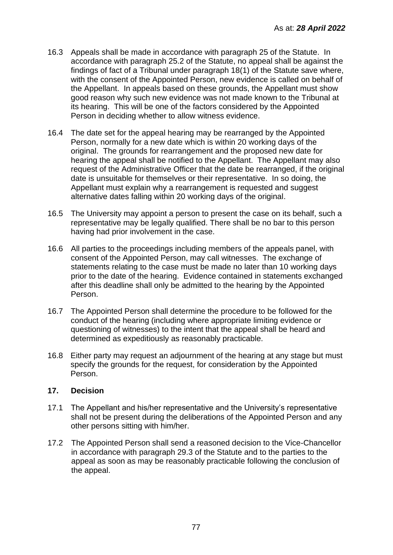- 16.3 Appeals shall be made in accordance with paragraph 25 of the Statute. In accordance with paragraph 25.2 of the Statute, no appeal shall be against the findings of fact of a Tribunal under paragraph 18(1) of the Statute save where, with the consent of the Appointed Person, new evidence is called on behalf of the Appellant. In appeals based on these grounds, the Appellant must show good reason why such new evidence was not made known to the Tribunal at its hearing. This will be one of the factors considered by the Appointed Person in deciding whether to allow witness evidence.
- 16.4 The date set for the appeal hearing may be rearranged by the Appointed Person, normally for a new date which is within 20 working days of the original. The grounds for rearrangement and the proposed new date for hearing the appeal shall be notified to the Appellant. The Appellant may also request of the Administrative Officer that the date be rearranged, if the original date is unsuitable for themselves or their representative. In so doing, the Appellant must explain why a rearrangement is requested and suggest alternative dates falling within 20 working days of the original.
- 16.5 The University may appoint a person to present the case on its behalf, such a representative may be legally qualified. There shall be no bar to this person having had prior involvement in the case.
- 16.6 All parties to the proceedings including members of the appeals panel, with consent of the Appointed Person, may call witnesses. The exchange of statements relating to the case must be made no later than 10 working days prior to the date of the hearing. Evidence contained in statements exchanged after this deadline shall only be admitted to the hearing by the Appointed Person.
- 16.7 The Appointed Person shall determine the procedure to be followed for the conduct of the hearing (including where appropriate limiting evidence or questioning of witnesses) to the intent that the appeal shall be heard and determined as expeditiously as reasonably practicable.
- 16.8 Either party may request an adjournment of the hearing at any stage but must specify the grounds for the request, for consideration by the Appointed Person.

### **17. Decision**

- 17.1 The Appellant and his/her representative and the University's representative shall not be present during the deliberations of the Appointed Person and any other persons sitting with him/her.
- 17.2 The Appointed Person shall send a reasoned decision to the Vice-Chancellor in accordance with paragraph 29.3 of the Statute and to the parties to the appeal as soon as may be reasonably practicable following the conclusion of the appeal.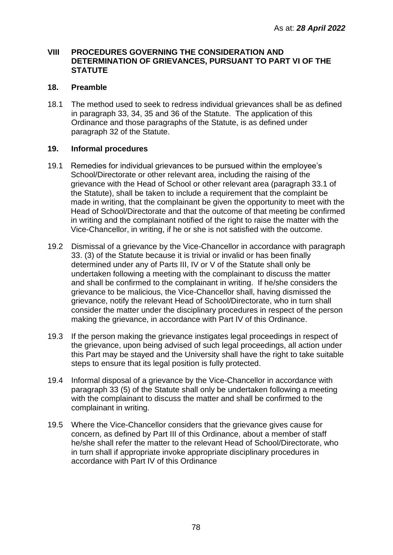### **VIII PROCEDURES GOVERNING THE CONSIDERATION AND DETERMINATION OF GRIEVANCES, PURSUANT TO PART VI OF THE STATUTE**

## **18. Preamble**

18.1 The method used to seek to redress individual grievances shall be as defined in paragraph 33, 34, 35 and 36 of the Statute. The application of this Ordinance and those paragraphs of the Statute, is as defined under paragraph 32 of the Statute.

# **19. Informal procedures**

- 19.1 Remedies for individual grievances to be pursued within the employee's School/Directorate or other relevant area, including the raising of the grievance with the Head of School or other relevant area (paragraph 33.1 of the Statute), shall be taken to include a requirement that the complaint be made in writing, that the complainant be given the opportunity to meet with the Head of School/Directorate and that the outcome of that meeting be confirmed in writing and the complainant notified of the right to raise the matter with the Vice-Chancellor, in writing, if he or she is not satisfied with the outcome.
- 19.2 Dismissal of a grievance by the Vice-Chancellor in accordance with paragraph 33. (3) of the Statute because it is trivial or invalid or has been finally determined under any of Parts III, IV or V of the Statute shall only be undertaken following a meeting with the complainant to discuss the matter and shall be confirmed to the complainant in writing. If he/she considers the grievance to be malicious, the Vice-Chancellor shall, having dismissed the grievance, notify the relevant Head of School/Directorate, who in turn shall consider the matter under the disciplinary procedures in respect of the person making the grievance, in accordance with Part IV of this Ordinance.
- 19.3 If the person making the grievance instigates legal proceedings in respect of the grievance, upon being advised of such legal proceedings, all action under this Part may be stayed and the University shall have the right to take suitable steps to ensure that its legal position is fully protected.
- 19.4 Informal disposal of a grievance by the Vice-Chancellor in accordance with paragraph 33 (5) of the Statute shall only be undertaken following a meeting with the complainant to discuss the matter and shall be confirmed to the complainant in writing.
- 19.5 Where the Vice-Chancellor considers that the grievance gives cause for concern, as defined by Part III of this Ordinance, about a member of staff he/she shall refer the matter to the relevant Head of School/Directorate, who in turn shall if appropriate invoke appropriate disciplinary procedures in accordance with Part IV of this Ordinance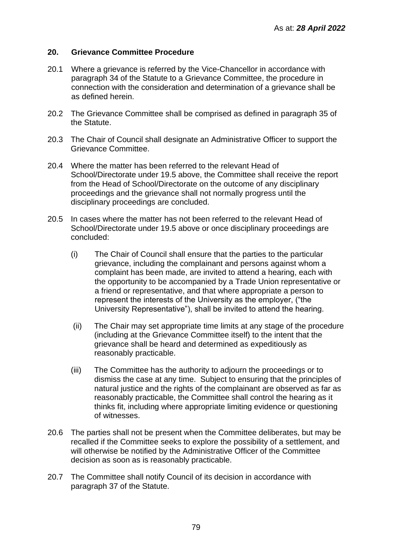### **20. Grievance Committee Procedure**

- 20.1 Where a grievance is referred by the Vice-Chancellor in accordance with paragraph 34 of the Statute to a Grievance Committee, the procedure in connection with the consideration and determination of a grievance shall be as defined herein.
- 20.2 The Grievance Committee shall be comprised as defined in paragraph 35 of the Statute.
- 20.3 The Chair of Council shall designate an Administrative Officer to support the Grievance Committee.
- 20.4 Where the matter has been referred to the relevant Head of School/Directorate under 19.5 above, the Committee shall receive the report from the Head of School/Directorate on the outcome of any disciplinary proceedings and the grievance shall not normally progress until the disciplinary proceedings are concluded.
- 20.5 In cases where the matter has not been referred to the relevant Head of School/Directorate under 19.5 above or once disciplinary proceedings are concluded:
	- (i) The Chair of Council shall ensure that the parties to the particular grievance, including the complainant and persons against whom a complaint has been made, are invited to attend a hearing, each with the opportunity to be accompanied by a Trade Union representative or a friend or representative, and that where appropriate a person to represent the interests of the University as the employer, ("the University Representative"), shall be invited to attend the hearing.
	- (ii) The Chair may set appropriate time limits at any stage of the procedure (including at the Grievance Committee itself) to the intent that the grievance shall be heard and determined as expeditiously as reasonably practicable.
	- (iii) The Committee has the authority to adjourn the proceedings or to dismiss the case at any time. Subject to ensuring that the principles of natural justice and the rights of the complainant are observed as far as reasonably practicable, the Committee shall control the hearing as it thinks fit, including where appropriate limiting evidence or questioning of witnesses.
- 20.6 The parties shall not be present when the Committee deliberates, but may be recalled if the Committee seeks to explore the possibility of a settlement, and will otherwise be notified by the Administrative Officer of the Committee decision as soon as is reasonably practicable.
- 20.7 The Committee shall notify Council of its decision in accordance with paragraph 37 of the Statute.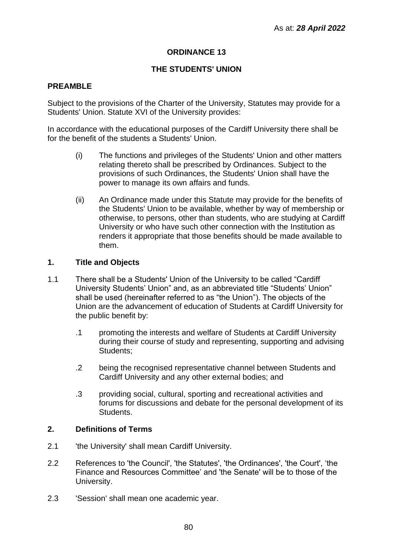# **ORDINANCE 13**

# **THE STUDENTS' UNION**

## **PREAMBLE**

Subject to the provisions of the Charter of the University, Statutes may provide for a Students' Union. Statute XVI of the University provides:

In accordance with the educational purposes of the Cardiff University there shall be for the benefit of the students a Students' Union.

- (i) The functions and privileges of the Students' Union and other matters relating thereto shall be prescribed by Ordinances. Subject to the provisions of such Ordinances, the Students' Union shall have the power to manage its own affairs and funds.
- (ii) An Ordinance made under this Statute may provide for the benefits of the Students' Union to be available, whether by way of membership or otherwise, to persons, other than students, who are studying at Cardiff University or who have such other connection with the Institution as renders it appropriate that those benefits should be made available to them.

#### **1. Title and Objects**

- 1.1 There shall be a Students' Union of the University to be called "Cardiff University Students' Union" and, as an abbreviated title "Students' Union" shall be used (hereinafter referred to as "the Union"). The objects of the Union are the advancement of education of Students at Cardiff University for the public benefit by:
	- .1 promoting the interests and welfare of Students at Cardiff University during their course of study and representing, supporting and advising Students:
	- .2 being the recognised representative channel between Students and Cardiff University and any other external bodies; and
	- .3 providing social, cultural, sporting and recreational activities and forums for discussions and debate for the personal development of its Students.

#### **2. Definitions of Terms**

- 2.1 <sup>'the University' shall mean Cardiff University.</sup>
- 2.2 References to 'the Council', 'the Statutes', 'the Ordinances', 'the Court', 'the Finance and Resources Committee' and 'the Senate' will be to those of the University.
- 2.3 'Session' shall mean one academic year.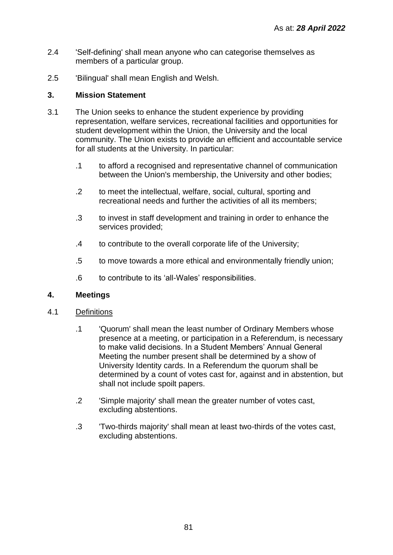- 2.4 'Self-defining' shall mean anyone who can categorise themselves as members of a particular group.
- 2.5 'Bilingual' shall mean English and Welsh.

# **3. Mission Statement**

- 3.1 The Union seeks to enhance the student experience by providing representation, welfare services, recreational facilities and opportunities for student development within the Union, the University and the local community. The Union exists to provide an efficient and accountable service for all students at the University. In particular:
	- .1 to afford a recognised and representative channel of communication between the Union's membership, the University and other bodies;
	- .2 to meet the intellectual, welfare, social, cultural, sporting and recreational needs and further the activities of all its members;
	- .3 to invest in staff development and training in order to enhance the services provided;
	- .4 to contribute to the overall corporate life of the University;
	- .5 to move towards a more ethical and environmentally friendly union;
	- .6 to contribute to its 'all-Wales' responsibilities.

### **4. Meetings**

- 4.1 Definitions
	- .1 'Quorum' shall mean the least number of Ordinary Members whose presence at a meeting, or participation in a Referendum, is necessary to make valid decisions. In a Student Members' Annual General Meeting the number present shall be determined by a show of University Identity cards. In a Referendum the quorum shall be determined by a count of votes cast for, against and in abstention, but shall not include spoilt papers.
	- .2 'Simple majority' shall mean the greater number of votes cast, excluding abstentions.
	- .3 'Two-thirds majority' shall mean at least two-thirds of the votes cast, excluding abstentions.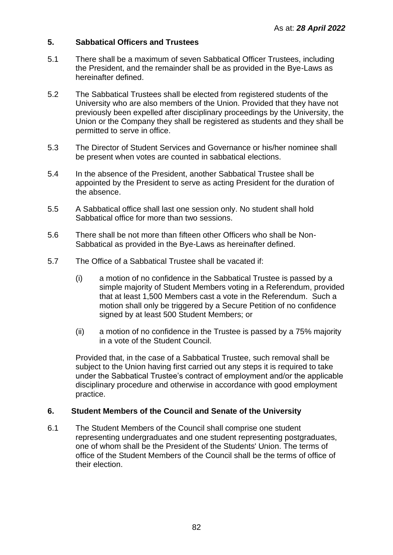# **5. Sabbatical Officers and Trustees**

- 5.1 There shall be a maximum of seven Sabbatical Officer Trustees, including the President, and the remainder shall be as provided in the Bye-Laws as hereinafter defined.
- 5.2 The Sabbatical Trustees shall be elected from registered students of the University who are also members of the Union. Provided that they have not previously been expelled after disciplinary proceedings by the University, the Union or the Company they shall be registered as students and they shall be permitted to serve in office.
- 5.3 The Director of Student Services and Governance or his/her nominee shall be present when votes are counted in sabbatical elections.
- 5.4 In the absence of the President, another Sabbatical Trustee shall be appointed by the President to serve as acting President for the duration of the absence.
- 5.5 A Sabbatical office shall last one session only. No student shall hold Sabbatical office for more than two sessions.
- 5.6 There shall be not more than fifteen other Officers who shall be Non-Sabbatical as provided in the Bye-Laws as hereinafter defined.
- 5.7 The Office of a Sabbatical Trustee shall be vacated if:
	- (i) a motion of no confidence in the Sabbatical Trustee is passed by a simple majority of Student Members voting in a Referendum, provided that at least 1,500 Members cast a vote in the Referendum. Such a motion shall only be triggered by a Secure Petition of no confidence signed by at least 500 Student Members; or
	- (ii) a motion of no confidence in the Trustee is passed by a 75% majority in a vote of the Student Council.

Provided that, in the case of a Sabbatical Trustee, such removal shall be subject to the Union having first carried out any steps it is required to take under the Sabbatical Trustee's contract of employment and/or the applicable disciplinary procedure and otherwise in accordance with good employment practice.

### **6. Student Members of the Council and Senate of the University**

6.1 The Student Members of the Council shall comprise one student representing undergraduates and one student representing postgraduates, one of whom shall be the President of the Students' Union. The terms of office of the Student Members of the Council shall be the terms of office of their election.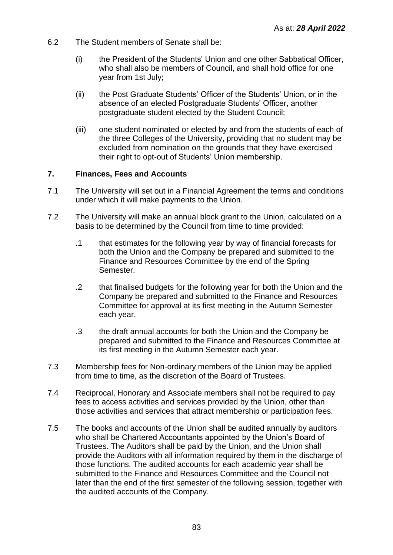- 6.2 The Student members of Senate shall be:
	- (i) the President of the Students' Union and one other Sabbatical Officer, who shall also be members of Council, and shall hold office for one year from 1st July;
	- (ii) the Post Graduate Students' Officer of the Students' Union, or in the absence of an elected Postgraduate Students' Officer, another postgraduate student elected by the Student Council;
	- (iii) one student nominated or elected by and from the students of each of the three Colleges of the University, providing that no student may be excluded from nomination on the grounds that they have exercised their right to opt-out of Students' Union membership.

### **7. Finances, Fees and Accounts**

- 7.1 The University will set out in a Financial Agreement the terms and conditions under which it will make payments to the Union.
- 7.2 The University will make an annual block grant to the Union, calculated on a basis to be determined by the Council from time to time provided:
	- .1 that estimates for the following year by way of financial forecasts for both the Union and the Company be prepared and submitted to the Finance and Resources Committee by the end of the Spring Semester.
	- .2 that finalised budgets for the following year for both the Union and the Company be prepared and submitted to the Finance and Resources Committee for approval at its first meeting in the Autumn Semester each year.
	- .3 the draft annual accounts for both the Union and the Company be prepared and submitted to the Finance and Resources Committee at its first meeting in the Autumn Semester each year.
- 7.3 Membership fees for Non-ordinary members of the Union may be applied from time to time, as the discretion of the Board of Trustees.
- 7.4 Reciprocal, Honorary and Associate members shall not be required to pay fees to access activities and services provided by the Union, other than those activities and services that attract membership or participation fees.
- 7.5 The books and accounts of the Union shall be audited annually by auditors who shall be Chartered Accountants appointed by the Union's Board of Trustees. The Auditors shall be paid by the Union, and the Union shall provide the Auditors with all information required by them in the discharge of those functions. The audited accounts for each academic year shall be submitted to the Finance and Resources Committee and the Council not later than the end of the first semester of the following session, together with the audited accounts of the Company.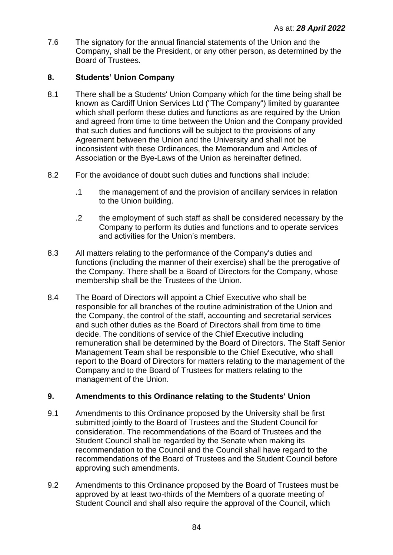7.6 The signatory for the annual financial statements of the Union and the Company, shall be the President, or any other person, as determined by the Board of Trustees.

# **8. Students' Union Company**

- 8.1 There shall be a Students' Union Company which for the time being shall be known as Cardiff Union Services Ltd ("The Company") limited by guarantee which shall perform these duties and functions as are required by the Union and agreed from time to time between the Union and the Company provided that such duties and functions will be subject to the provisions of any Agreement between the Union and the University and shall not be inconsistent with these Ordinances, the Memorandum and Articles of Association or the Bye-Laws of the Union as hereinafter defined.
- 8.2 For the avoidance of doubt such duties and functions shall include:
	- .1 the management of and the provision of ancillary services in relation to the Union building.
	- .2 the employment of such staff as shall be considered necessary by the Company to perform its duties and functions and to operate services and activities for the Union's members.
- 8.3 All matters relating to the performance of the Company's duties and functions (including the manner of their exercise) shall be the prerogative of the Company. There shall be a Board of Directors for the Company, whose membership shall be the Trustees of the Union.
- 8.4 The Board of Directors will appoint a Chief Executive who shall be responsible for all branches of the routine administration of the Union and the Company, the control of the staff, accounting and secretarial services and such other duties as the Board of Directors shall from time to time decide. The conditions of service of the Chief Executive including remuneration shall be determined by the Board of Directors. The Staff Senior Management Team shall be responsible to the Chief Executive, who shall report to the Board of Directors for matters relating to the management of the Company and to the Board of Trustees for matters relating to the management of the Union.

### **9. Amendments to this Ordinance relating to the Students' Union**

- 9.1 Amendments to this Ordinance proposed by the University shall be first submitted jointly to the Board of Trustees and the Student Council for consideration. The recommendations of the Board of Trustees and the Student Council shall be regarded by the Senate when making its recommendation to the Council and the Council shall have regard to the recommendations of the Board of Trustees and the Student Council before approving such amendments.
- 9.2 Amendments to this Ordinance proposed by the Board of Trustees must be approved by at least two-thirds of the Members of a quorate meeting of Student Council and shall also require the approval of the Council, which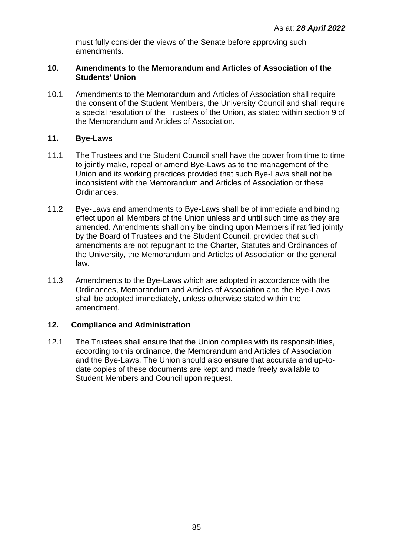must fully consider the views of the Senate before approving such amendments.

### **10. Amendments to the Memorandum and Articles of Association of the Students' Union**

10.1 Amendments to the Memorandum and Articles of Association shall require the consent of the Student Members, the University Council and shall require a special resolution of the Trustees of the Union, as stated within section 9 of the Memorandum and Articles of Association.

# **11. Bye-Laws**

- 11.1 The Trustees and the Student Council shall have the power from time to time to jointly make, repeal or amend Bye-Laws as to the management of the Union and its working practices provided that such Bye-Laws shall not be inconsistent with the Memorandum and Articles of Association or these Ordinances.
- 11.2 Bye-Laws and amendments to Bye-Laws shall be of immediate and binding effect upon all Members of the Union unless and until such time as they are amended. Amendments shall only be binding upon Members if ratified jointly by the Board of Trustees and the Student Council, provided that such amendments are not repugnant to the Charter, Statutes and Ordinances of the University, the Memorandum and Articles of Association or the general law.
- 11.3 Amendments to the Bye-Laws which are adopted in accordance with the Ordinances, Memorandum and Articles of Association and the Bye-Laws shall be adopted immediately, unless otherwise stated within the amendment.

# **12. Compliance and Administration**

12.1 The Trustees shall ensure that the Union complies with its responsibilities, according to this ordinance, the Memorandum and Articles of Association and the Bye-Laws. The Union should also ensure that accurate and up-todate copies of these documents are kept and made freely available to Student Members and Council upon request.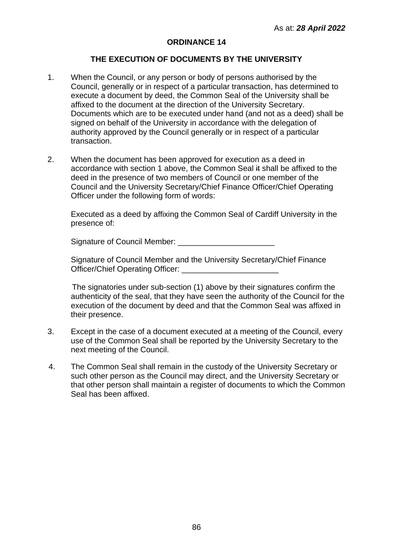#### **ORDINANCE 14**

## **THE EXECUTION OF DOCUMENTS BY THE UNIVERSITY**

- 1. When the Council, or any person or body of persons authorised by the Council, generally or in respect of a particular transaction, has determined to execute a document by deed, the Common Seal of the University shall be affixed to the document at the direction of the University Secretary. Documents which are to be executed under hand (and not as a deed) shall be signed on behalf of the University in accordance with the delegation of authority approved by the Council generally or in respect of a particular transaction.
- 2. When the document has been approved for execution as a deed in accordance with section 1 above, the Common Seal it shall be affixed to the deed in the presence of two members of Council or one member of the Council and the University Secretary/Chief Finance Officer/Chief Operating Officer under the following form of words:

Executed as a deed by affixing the Common Seal of Cardiff University in the presence of:

Signature of Council Member:

Signature of Council Member and the University Secretary/Chief Finance Officer/Chief Operating Officer:

The signatories under sub-section (1) above by their signatures confirm the authenticity of the seal, that they have seen the authority of the Council for the execution of the document by deed and that the Common Seal was affixed in their presence.

- 3. Except in the case of a document executed at a meeting of the Council, every use of the Common Seal shall be reported by the University Secretary to the next meeting of the Council.
- 4. The Common Seal shall remain in the custody of the University Secretary or such other person as the Council may direct, and the University Secretary or that other person shall maintain a register of documents to which the Common Seal has been affixed.